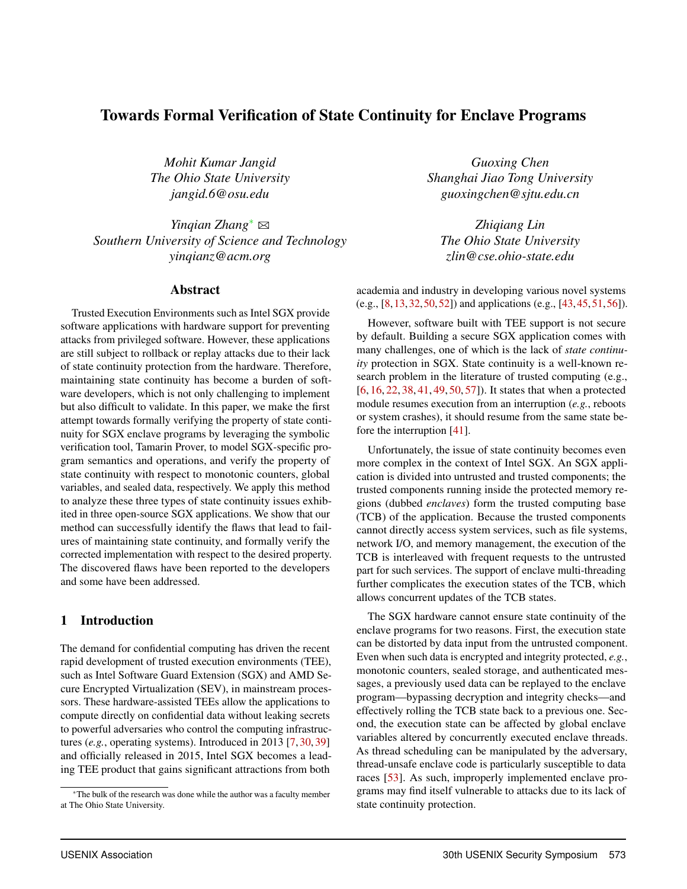# Towards Formal Verification of State Continuity for Enclave Programs

*Mohit Kumar Jangid Guoxing Chen*

*Yinqian Zhang*<sup>∗</sup> B *Zhiqiang Lin Southern University of Science and Technology The Ohio State University yinqianz@acm.org zlin@cse.ohio-state.edu*

## Abstract

Trusted Execution Environments such as Intel SGX provide software applications with hardware support for preventing attacks from privileged software. However, these applications are still subject to rollback or replay attacks due to their lack of state continuity protection from the hardware. Therefore, maintaining state continuity has become a burden of software developers, which is not only challenging to implement but also difficult to validate. In this paper, we make the first attempt towards formally verifying the property of state continuity for SGX enclave programs by leveraging the symbolic verification tool, Tamarin Prover, to model SGX-specific program semantics and operations, and verify the property of state continuity with respect to monotonic counters, global variables, and sealed data, respectively. We apply this method to analyze these three types of state continuity issues exhibited in three open-source SGX applications. We show that our method can successfully identify the flaws that lead to failures of maintaining state continuity, and formally verify the corrected implementation with respect to the desired property. The discovered flaws have been reported to the developers and some have been addressed.

# 1 Introduction

The demand for confidential computing has driven the recent rapid development of trusted execution environments (TEE), such as Intel Software Guard Extension (SGX) and AMD Secure Encrypted Virtualization (SEV), in mainstream processors. These hardware-assisted TEEs allow the applications to compute directly on confidential data without leaking secrets to powerful adversaries who control the computing infrastructures (*e.g.*, operating systems). Introduced in 2013 [7, 30, 39] and officially released in 2015, Intel SGX becomes a leading TEE product that gains significant attractions from both

*The Ohio State University Shanghai Jiao Tong University jangid.6@osu.edu guoxingchen@sjtu.edu.cn*

academia and industry in developing various novel systems (e.g., [8,13,32,50,52]) and applications (e.g., [43,45,51,56]).

However, software built with TEE support is not secure by default. Building a secure SGX application comes with many challenges, one of which is the lack of *state continuity* protection in SGX. State continuity is a well-known research problem in the literature of trusted computing (e.g., [6, 16, 22, 38, 41, 49, 50, 57]). It states that when a protected module resumes execution from an interruption (*e.g.*, reboots or system crashes), it should resume from the same state before the interruption [41].

Unfortunately, the issue of state continuity becomes even more complex in the context of Intel SGX. An SGX application is divided into untrusted and trusted components; the trusted components running inside the protected memory regions (dubbed *enclaves*) form the trusted computing base (TCB) of the application. Because the trusted components cannot directly access system services, such as file systems, network I/O, and memory management, the execution of the TCB is interleaved with frequent requests to the untrusted part for such services. The support of enclave multi-threading further complicates the execution states of the TCB, which allows concurrent updates of the TCB states.

The SGX hardware cannot ensure state continuity of the enclave programs for two reasons. First, the execution state can be distorted by data input from the untrusted component. Even when such data is encrypted and integrity protected, *e.g.*, monotonic counters, sealed storage, and authenticated messages, a previously used data can be replayed to the enclave program—bypassing decryption and integrity checks—and effectively rolling the TCB state back to a previous one. Second, the execution state can be affected by global enclave variables altered by concurrently executed enclave threads. As thread scheduling can be manipulated by the adversary, thread-unsafe enclave code is particularly susceptible to data races [53]. As such, improperly implemented enclave programs may find itself vulnerable to attacks due to its lack of state continuity protection.

<sup>∗</sup>The bulk of the research was done while the author was a faculty member at The Ohio State University.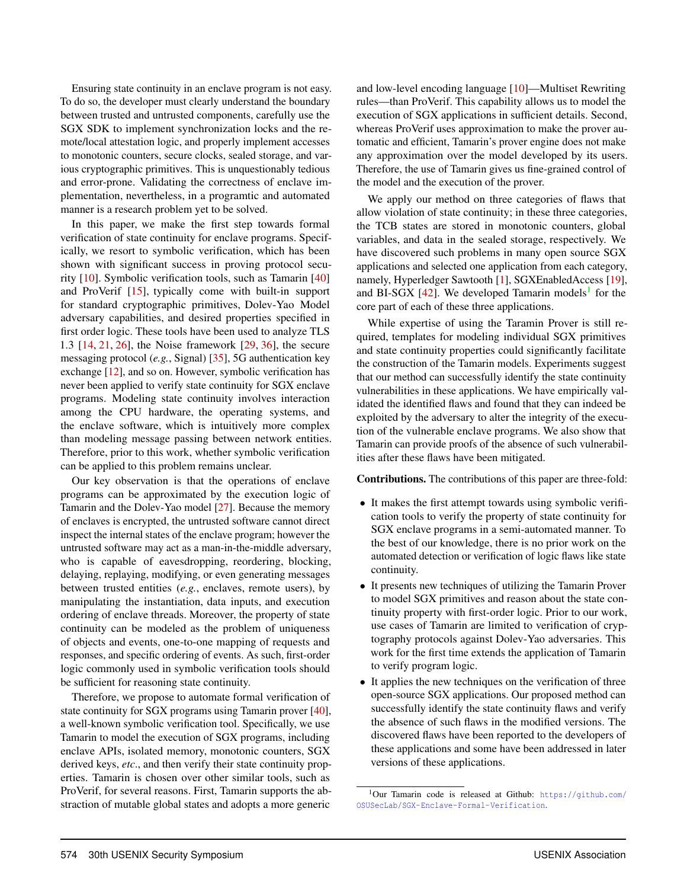Ensuring state continuity in an enclave program is not easy. To do so, the developer must clearly understand the boundary between trusted and untrusted components, carefully use the SGX SDK to implement synchronization locks and the remote/local attestation logic, and properly implement accesses to monotonic counters, secure clocks, sealed storage, and various cryptographic primitives. This is unquestionably tedious and error-prone. Validating the correctness of enclave implementation, nevertheless, in a programtic and automated manner is a research problem yet to be solved.

In this paper, we make the first step towards formal verification of state continuity for enclave programs. Specifically, we resort to symbolic verification, which has been shown with significant success in proving protocol security [10]. Symbolic verification tools, such as Tamarin [40] and ProVerif [15], typically come with built-in support for standard cryptographic primitives, Dolev-Yao Model adversary capabilities, and desired properties specified in first order logic. These tools have been used to analyze TLS 1.3 [14, 21, 26], the Noise framework [29, 36], the secure messaging protocol (*e.g.*, Signal) [35], 5G authentication key exchange [12], and so on. However, symbolic verification has never been applied to verify state continuity for SGX enclave programs. Modeling state continuity involves interaction among the CPU hardware, the operating systems, and the enclave software, which is intuitively more complex than modeling message passing between network entities. Therefore, prior to this work, whether symbolic verification can be applied to this problem remains unclear.

Our key observation is that the operations of enclave programs can be approximated by the execution logic of Tamarin and the Dolev-Yao model [27]. Because the memory of enclaves is encrypted, the untrusted software cannot direct inspect the internal states of the enclave program; however the untrusted software may act as a man-in-the-middle adversary, who is capable of eavesdropping, reordering, blocking, delaying, replaying, modifying, or even generating messages between trusted entities (*e.g.*, enclaves, remote users), by manipulating the instantiation, data inputs, and execution ordering of enclave threads. Moreover, the property of state continuity can be modeled as the problem of uniqueness of objects and events, one-to-one mapping of requests and responses, and specific ordering of events. As such, first-order logic commonly used in symbolic verification tools should be sufficient for reasoning state continuity.

Therefore, we propose to automate formal verification of state continuity for SGX programs using Tamarin prover [40], a well-known symbolic verification tool. Specifically, we use Tamarin to model the execution of SGX programs, including enclave APIs, isolated memory, monotonic counters, SGX derived keys, *etc*., and then verify their state continuity properties. Tamarin is chosen over other similar tools, such as ProVerif, for several reasons. First, Tamarin supports the abstraction of mutable global states and adopts a more generic

and low-level encoding language [10]—Multiset Rewriting rules—than ProVerif. This capability allows us to model the execution of SGX applications in sufficient details. Second, whereas ProVerif uses approximation to make the prover automatic and efficient, Tamarin's prover engine does not make any approximation over the model developed by its users. Therefore, the use of Tamarin gives us fine-grained control of the model and the execution of the prover.

We apply our method on three categories of flaws that allow violation of state continuity; in these three categories, the TCB states are stored in monotonic counters, global variables, and data in the sealed storage, respectively. We have discovered such problems in many open source SGX applications and selected one application from each category, namely, Hyperledger Sawtooth [1], SGXEnabledAccess [19], and BI-SGX  $[42]$ . We developed Tamarin models<sup>1</sup> for the core part of each of these three applications.

While expertise of using the Taramin Prover is still required, templates for modeling individual SGX primitives and state continuity properties could significantly facilitate the construction of the Tamarin models. Experiments suggest that our method can successfully identify the state continuity vulnerabilities in these applications. We have empirically validated the identified flaws and found that they can indeed be exploited by the adversary to alter the integrity of the execution of the vulnerable enclave programs. We also show that Tamarin can provide proofs of the absence of such vulnerabilities after these flaws have been mitigated.

Contributions. The contributions of this paper are three-fold:

- It makes the first attempt towards using symbolic verification tools to verify the property of state continuity for SGX enclave programs in a semi-automated manner. To the best of our knowledge, there is no prior work on the automated detection or verification of logic flaws like state continuity.
- It presents new techniques of utilizing the Tamarin Prover to model SGX primitives and reason about the state continuity property with first-order logic. Prior to our work, use cases of Tamarin are limited to verification of cryptography protocols against Dolev-Yao adversaries. This work for the first time extends the application of Tamarin to verify program logic.
- It applies the new techniques on the verification of three open-source SGX applications. Our proposed method can successfully identify the state continuity flaws and verify the absence of such flaws in the modified versions. The discovered flaws have been reported to the developers of these applications and some have been addressed in later versions of these applications.

<sup>&</sup>lt;sup>1</sup>Our Tamarin code is released at Github: https://github.com/ OSUSecLab/SGX-Enclave-Formal-Verification.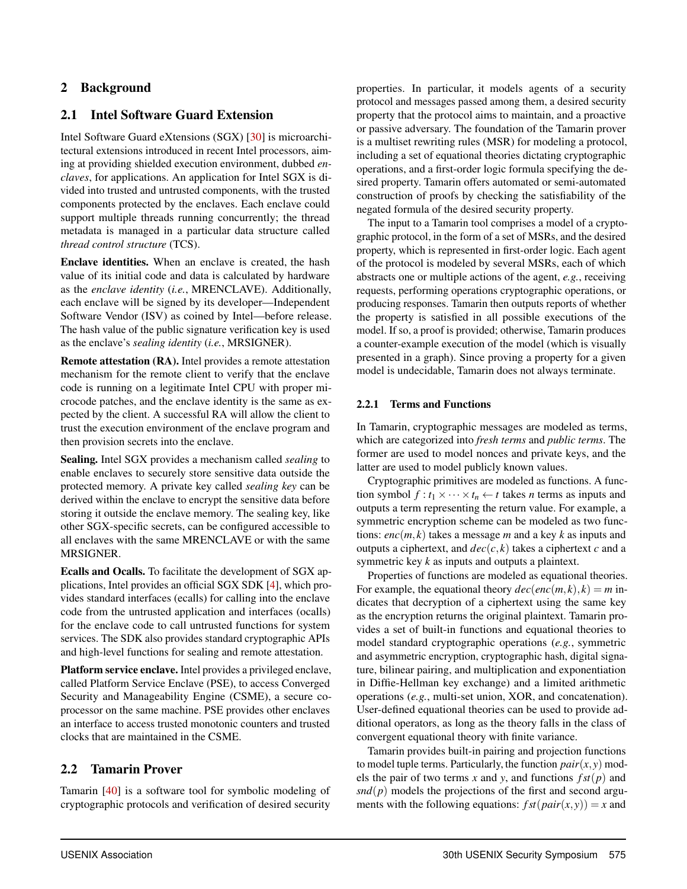# 2 Background

# 2.1 Intel Software Guard Extension

Intel Software Guard eXtensions (SGX) [30] is microarchitectural extensions introduced in recent Intel processors, aiming at providing shielded execution environment, dubbed *enclaves*, for applications. An application for Intel SGX is divided into trusted and untrusted components, with the trusted components protected by the enclaves. Each enclave could support multiple threads running concurrently; the thread metadata is managed in a particular data structure called *thread control structure* (TCS).

Enclave identities. When an enclave is created, the hash value of its initial code and data is calculated by hardware as the *enclave identity* (*i.e.*, MRENCLAVE). Additionally, each enclave will be signed by its developer—Independent Software Vendor (ISV) as coined by Intel—before release. The hash value of the public signature verification key is used as the enclave's *sealing identity* (*i.e.*, MRSIGNER).

Remote attestation (RA). Intel provides a remote attestation mechanism for the remote client to verify that the enclave code is running on a legitimate Intel CPU with proper microcode patches, and the enclave identity is the same as expected by the client. A successful RA will allow the client to trust the execution environment of the enclave program and then provision secrets into the enclave.

Sealing. Intel SGX provides a mechanism called *sealing* to enable enclaves to securely store sensitive data outside the protected memory. A private key called *sealing key* can be derived within the enclave to encrypt the sensitive data before storing it outside the enclave memory. The sealing key, like other SGX-specific secrets, can be configured accessible to all enclaves with the same MRENCLAVE or with the same MRSIGNER.

Ecalls and Ocalls. To facilitate the development of SGX applications, Intel provides an official SGX SDK [4], which provides standard interfaces (ecalls) for calling into the enclave code from the untrusted application and interfaces (ocalls) for the enclave code to call untrusted functions for system services. The SDK also provides standard cryptographic APIs and high-level functions for sealing and remote attestation.

Platform service enclave. Intel provides a privileged enclave, called Platform Service Enclave (PSE), to access Converged Security and Manageability Engine (CSME), a secure coprocessor on the same machine. PSE provides other enclaves an interface to access trusted monotonic counters and trusted clocks that are maintained in the CSME.

# 2.2 Tamarin Prover

Tamarin [40] is a software tool for symbolic modeling of cryptographic protocols and verification of desired security

properties. In particular, it models agents of a security protocol and messages passed among them, a desired security property that the protocol aims to maintain, and a proactive or passive adversary. The foundation of the Tamarin prover is a multiset rewriting rules (MSR) for modeling a protocol, including a set of equational theories dictating cryptographic operations, and a first-order logic formula specifying the desired property. Tamarin offers automated or semi-automated construction of proofs by checking the satisfiability of the negated formula of the desired security property.

The input to a Tamarin tool comprises a model of a cryptographic protocol, in the form of a set of MSRs, and the desired property, which is represented in first-order logic. Each agent of the protocol is modeled by several MSRs, each of which abstracts one or multiple actions of the agent, *e.g.*, receiving requests, performing operations cryptographic operations, or producing responses. Tamarin then outputs reports of whether the property is satisfied in all possible executions of the model. If so, a proof is provided; otherwise, Tamarin produces a counter-example execution of the model (which is visually presented in a graph). Since proving a property for a given model is undecidable, Tamarin does not always terminate.

### 2.2.1 Terms and Functions

In Tamarin, cryptographic messages are modeled as terms, which are categorized into *fresh terms* and *public terms*. The former are used to model nonces and private keys, and the latter are used to model publicly known values.

Cryptographic primitives are modeled as functions. A function symbol  $f: t_1 \times \cdots \times t_n \leftarrow t$  takes *n* terms as inputs and outputs a term representing the return value. For example, a symmetric encryption scheme can be modeled as two functions: *enc*(*m*, *k*) takes a message *m* and a key *k* as inputs and outputs a ciphertext, and  $dec(c, k)$  takes a ciphertext *c* and a symmetric key *k* as inputs and outputs a plaintext.

Properties of functions are modeled as equational theories. For example, the equational theory  $dec(enc(m, k), k) = m$  indicates that decryption of a ciphertext using the same key as the encryption returns the original plaintext. Tamarin provides a set of built-in functions and equational theories to model standard cryptographic operations (*e.g.*, symmetric and asymmetric encryption, cryptographic hash, digital signature, bilinear pairing, and multiplication and exponentiation in Diffie-Hellman key exchange) and a limited arithmetic operations (*e.g.*, multi-set union, XOR, and concatenation). User-defined equational theories can be used to provide additional operators, as long as the theory falls in the class of convergent equational theory with finite variance.

Tamarin provides built-in pairing and projection functions to model tuple terms. Particularly, the function  $pair(x, y)$  models the pair of two terms *x* and *y*, and functions  $fst(p)$  and  $snd(p)$  models the projections of the first and second arguments with the following equations:  $fst(pair(x, y)) = x$  and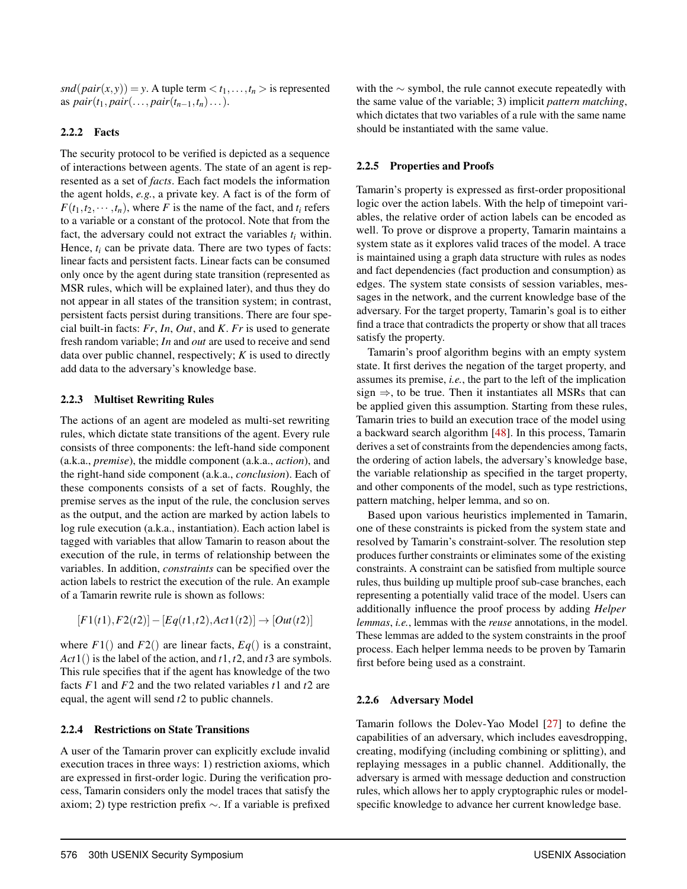$snd(\text{pair}(x, y)) = y$ . A tuple term  $\langle t_1, \ldots, t_n \rangle$  is represented as  $pair(t_1, pair(..., pair(t_{n-1}, t_n)...).$ 

### 2.2.2 Facts

The security protocol to be verified is depicted as a sequence of interactions between agents. The state of an agent is represented as a set of *facts*. Each fact models the information the agent holds, *e.g.*, a private key. A fact is of the form of  $F(t_1, t_2, \dots, t_n)$ , where *F* is the name of the fact, and  $t_i$  refers to a variable or a constant of the protocol. Note that from the fact, the adversary could not extract the variables  $t_i$  within. Hence,  $t_i$  can be private data. There are two types of facts: linear facts and persistent facts. Linear facts can be consumed only once by the agent during state transition (represented as MSR rules, which will be explained later), and thus they do not appear in all states of the transition system; in contrast, persistent facts persist during transitions. There are four special built-in facts: *Fr*, *In*, *Out*, and *K*. *Fr* is used to generate fresh random variable; *In* and *out* are used to receive and send data over public channel, respectively; *K* is used to directly add data to the adversary's knowledge base.

### 2.2.3 Multiset Rewriting Rules

The actions of an agent are modeled as multi-set rewriting rules, which dictate state transitions of the agent. Every rule consists of three components: the left-hand side component (a.k.a., *premise*), the middle component (a.k.a., *action*), and the right-hand side component (a.k.a., *conclusion*). Each of these components consists of a set of facts. Roughly, the premise serves as the input of the rule, the conclusion serves as the output, and the action are marked by action labels to log rule execution (a.k.a., instantiation). Each action label is tagged with variables that allow Tamarin to reason about the execution of the rule, in terms of relationship between the variables. In addition, *constraints* can be specified over the action labels to restrict the execution of the rule. An example of a Tamarin rewrite rule is shown as follows:

$$
[F1(t1), F2(t2)] - [Eq(t1, t2), Act1(t2)] \rightarrow [Out(t2)]
$$

where  $F1()$  and  $F2()$  are linear facts,  $Eq()$  is a constraint, *Act*1() is the label of the action, and *t*1, *t*2, and *t*3 are symbols. This rule specifies that if the agent has knowledge of the two facts *F*1 and *F*2 and the two related variables *t*1 and *t*2 are equal, the agent will send *t*2 to public channels.

### 2.2.4 Restrictions on State Transitions

A user of the Tamarin prover can explicitly exclude invalid execution traces in three ways: 1) restriction axioms, which are expressed in first-order logic. During the verification process, Tamarin considers only the model traces that satisfy the axiom; 2) type restriction prefix ∼. If a variable is prefixed

with the ∼ symbol, the rule cannot execute repeatedly with the same value of the variable; 3) implicit *pattern matching*, which dictates that two variables of a rule with the same name should be instantiated with the same value.

### 2.2.5 Properties and Proofs

Tamarin's property is expressed as first-order propositional logic over the action labels. With the help of timepoint variables, the relative order of action labels can be encoded as well. To prove or disprove a property, Tamarin maintains a system state as it explores valid traces of the model. A trace is maintained using a graph data structure with rules as nodes and fact dependencies (fact production and consumption) as edges. The system state consists of session variables, messages in the network, and the current knowledge base of the adversary. For the target property, Tamarin's goal is to either find a trace that contradicts the property or show that all traces satisfy the property.

Tamarin's proof algorithm begins with an empty system state. It first derives the negation of the target property, and assumes its premise, *i.e.*, the part to the left of the implication sign  $\Rightarrow$ , to be true. Then it instantiates all MSRs that can be applied given this assumption. Starting from these rules, Tamarin tries to build an execution trace of the model using a backward search algorithm [48]. In this process, Tamarin derives a set of constraints from the dependencies among facts, the ordering of action labels, the adversary's knowledge base, the variable relationship as specified in the target property, and other components of the model, such as type restrictions, pattern matching, helper lemma, and so on.

Based upon various heuristics implemented in Tamarin, one of these constraints is picked from the system state and resolved by Tamarin's constraint-solver. The resolution step produces further constraints or eliminates some of the existing constraints. A constraint can be satisfied from multiple source rules, thus building up multiple proof sub-case branches, each representing a potentially valid trace of the model. Users can additionally influence the proof process by adding *Helper lemmas*, *i.e.*, lemmas with the *reuse* annotations, in the model. These lemmas are added to the system constraints in the proof process. Each helper lemma needs to be proven by Tamarin first before being used as a constraint.

### 2.2.6 Adversary Model

Tamarin follows the Dolev-Yao Model [27] to define the capabilities of an adversary, which includes eavesdropping, creating, modifying (including combining or splitting), and replaying messages in a public channel. Additionally, the adversary is armed with message deduction and construction rules, which allows her to apply cryptographic rules or modelspecific knowledge to advance her current knowledge base.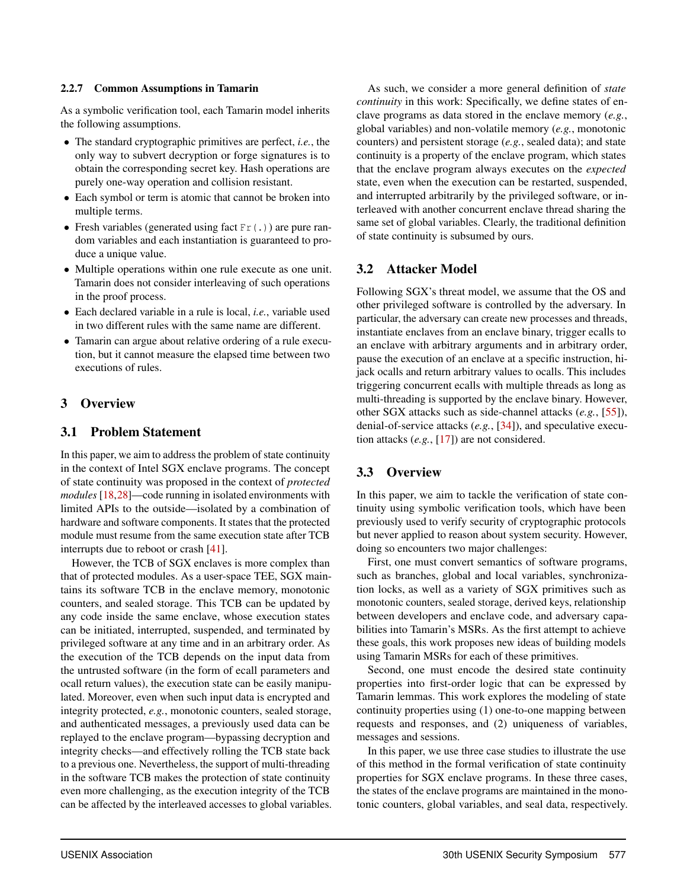### 2.2.7 Common Assumptions in Tamarin

As a symbolic verification tool, each Tamarin model inherits the following assumptions.

- The standard cryptographic primitives are perfect, *i.e.*, the only way to subvert decryption or forge signatures is to obtain the corresponding secret key. Hash operations are purely one-way operation and collision resistant.
- Each symbol or term is atomic that cannot be broken into multiple terms.
- Fresh variables (generated using fact  $Fr(.)$ ) are pure random variables and each instantiation is guaranteed to produce a unique value.
- Multiple operations within one rule execute as one unit. Tamarin does not consider interleaving of such operations in the proof process.
- Each declared variable in a rule is local, *i.e.*, variable used in two different rules with the same name are different.
- Tamarin can argue about relative ordering of a rule execution, but it cannot measure the elapsed time between two executions of rules.

# 3 Overview

## 3.1 Problem Statement

In this paper, we aim to address the problem of state continuity in the context of Intel SGX enclave programs. The concept of state continuity was proposed in the context of *protected modules* [18,28]—code running in isolated environments with limited APIs to the outside—isolated by a combination of hardware and software components. It states that the protected module must resume from the same execution state after TCB interrupts due to reboot or crash [41].

However, the TCB of SGX enclaves is more complex than that of protected modules. As a user-space TEE, SGX maintains its software TCB in the enclave memory, monotonic counters, and sealed storage. This TCB can be updated by any code inside the same enclave, whose execution states can be initiated, interrupted, suspended, and terminated by privileged software at any time and in an arbitrary order. As the execution of the TCB depends on the input data from the untrusted software (in the form of ecall parameters and ocall return values), the execution state can be easily manipulated. Moreover, even when such input data is encrypted and integrity protected, *e.g.*, monotonic counters, sealed storage, and authenticated messages, a previously used data can be replayed to the enclave program—bypassing decryption and integrity checks—and effectively rolling the TCB state back to a previous one. Nevertheless, the support of multi-threading in the software TCB makes the protection of state continuity even more challenging, as the execution integrity of the TCB can be affected by the interleaved accesses to global variables.

As such, we consider a more general definition of *state continuity* in this work: Specifically, we define states of enclave programs as data stored in the enclave memory (*e.g.*, global variables) and non-volatile memory (*e.g.*, monotonic counters) and persistent storage (*e.g.*, sealed data); and state continuity is a property of the enclave program, which states that the enclave program always executes on the *expected* state, even when the execution can be restarted, suspended, and interrupted arbitrarily by the privileged software, or interleaved with another concurrent enclave thread sharing the same set of global variables. Clearly, the traditional definition of state continuity is subsumed by ours.

# 3.2 Attacker Model

Following SGX's threat model, we assume that the OS and other privileged software is controlled by the adversary. In particular, the adversary can create new processes and threads, instantiate enclaves from an enclave binary, trigger ecalls to an enclave with arbitrary arguments and in arbitrary order, pause the execution of an enclave at a specific instruction, hijack ocalls and return arbitrary values to ocalls. This includes triggering concurrent ecalls with multiple threads as long as multi-threading is supported by the enclave binary. However, other SGX attacks such as side-channel attacks (*e.g.*, [55]), denial-of-service attacks (*e.g.*, [34]), and speculative execution attacks (*e.g.*, [17]) are not considered.

# 3.3 Overview

In this paper, we aim to tackle the verification of state continuity using symbolic verification tools, which have been previously used to verify security of cryptographic protocols but never applied to reason about system security. However, doing so encounters two major challenges:

First, one must convert semantics of software programs, such as branches, global and local variables, synchronization locks, as well as a variety of SGX primitives such as monotonic counters, sealed storage, derived keys, relationship between developers and enclave code, and adversary capabilities into Tamarin's MSRs. As the first attempt to achieve these goals, this work proposes new ideas of building models using Tamarin MSRs for each of these primitives.

Second, one must encode the desired state continuity properties into first-order logic that can be expressed by Tamarin lemmas. This work explores the modeling of state continuity properties using (1) one-to-one mapping between requests and responses, and (2) uniqueness of variables, messages and sessions.

In this paper, we use three case studies to illustrate the use of this method in the formal verification of state continuity properties for SGX enclave programs. In these three cases, the states of the enclave programs are maintained in the monotonic counters, global variables, and seal data, respectively.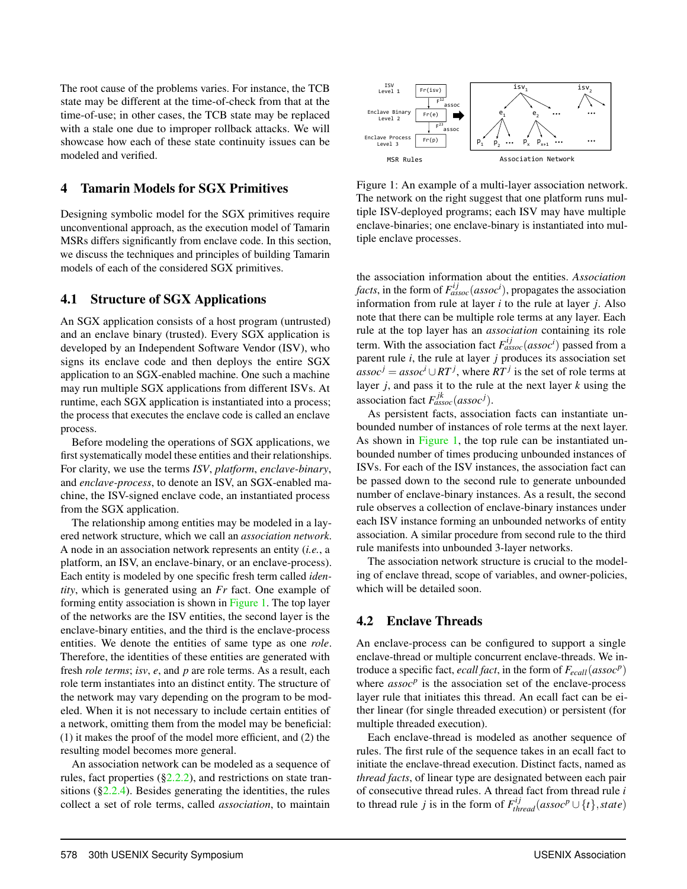The root cause of the problems varies. For instance, the TCB state may be different at the time-of-check from that at the time-of-use; in other cases, the TCB state may be replaced with a stale one due to improper rollback attacks. We will showcase how each of these state continuity issues can be modeled and verified.

## 4 Tamarin Models for SGX Primitives

Designing symbolic model for the SGX primitives require unconventional approach, as the execution model of Tamarin MSRs differs significantly from enclave code. In this section, we discuss the techniques and principles of building Tamarin models of each of the considered SGX primitives.

## 4.1 Structure of SGX Applications

An SGX application consists of a host program (untrusted) and an enclave binary (trusted). Every SGX application is developed by an Independent Software Vendor (ISV), who signs its enclave code and then deploys the entire SGX application to an SGX-enabled machine. One such a machine may run multiple SGX applications from different ISVs. At runtime, each SGX application is instantiated into a process; the process that executes the enclave code is called an enclave process.

Before modeling the operations of SGX applications, we first systematically model these entities and their relationships. For clarity, we use the terms *ISV*, *platform*, *enclave-binary*, and *enclave-process*, to denote an ISV, an SGX-enabled machine, the ISV-signed enclave code, an instantiated process from the SGX application.

The relationship among entities may be modeled in a layered network structure, which we call an *association network*. A node in an association network represents an entity (*i.e.*, a platform, an ISV, an enclave-binary, or an enclave-process). Each entity is modeled by one specific fresh term called *identity*, which is generated using an *Fr* fact. One example of forming entity association is shown in Figure 1. The top layer of the networks are the ISV entities, the second layer is the enclave-binary entities, and the third is the enclave-process entities. We denote the entities of same type as one *role*. Therefore, the identities of these entities are generated with fresh *role terms*; *isv*, *e*, and *p* are role terms. As a result, each role term instantiates into an distinct entity. The structure of the network may vary depending on the program to be modeled. When it is not necessary to include certain entities of a network, omitting them from the model may be beneficial: (1) it makes the proof of the model more efficient, and (2) the resulting model becomes more general.

An association network can be modeled as a sequence of rules, fact properties  $(\S2.2.2)$ , and restrictions on state transitions  $(\S2.2.4)$ . Besides generating the identities, the rules collect a set of role terms, called *association*, to maintain



Figure 1: An example of a multi-layer association network. The network on the right suggest that one platform runs multiple ISV-deployed programs; each ISV may have multiple enclave-binaries; one enclave-binary is instantiated into multiple enclave processes.

the association information about the entities. *Association facts*, in the form of  $F_{assoc}^{ij}(assoc^i)$ , propagates the association information from rule at layer *i* to the rule at layer *j*. Also note that there can be multiple role terms at any layer. Each rule at the top layer has an *association* containing its role term. With the association fact  $F_{assoc}^{ij}(assoc^i)$  passed from a parent rule *i*, the rule at layer *j* produces its association set  $\hat{a} s s o c^{j} = a s s o c^{i} \cup RT^{j}$ , where  $RT^{j}$  is the set of role terms at layer *j*, and pass it to the rule at the next layer *k* using the association fact  $F_{assoc}^{jk}(assoc<sup>j</sup>)$ .

As persistent facts, association facts can instantiate unbounded number of instances of role terms at the next layer. As shown in Figure 1, the top rule can be instantiated unbounded number of times producing unbounded instances of ISVs. For each of the ISV instances, the association fact can be passed down to the second rule to generate unbounded number of enclave-binary instances. As a result, the second rule observes a collection of enclave-binary instances under each ISV instance forming an unbounded networks of entity association. A similar procedure from second rule to the third rule manifests into unbounded 3-layer networks.

The association network structure is crucial to the modeling of enclave thread, scope of variables, and owner-policies, which will be detailed soon.

# 4.2 Enclave Threads

An enclave-process can be configured to support a single enclave-thread or multiple concurrent enclave-threads. We introduce a specific fact, *ecall fact*, in the form of *Fecall*(*assoc<sup>p</sup>* ) where  $assoc<sup>p</sup>$  is the association set of the enclave-process layer rule that initiates this thread. An ecall fact can be either linear (for single threaded execution) or persistent (for multiple threaded execution).

Each enclave-thread is modeled as another sequence of rules. The first rule of the sequence takes in an ecall fact to initiate the enclave-thread execution. Distinct facts, named as *thread facts*, of linear type are designated between each pair of consecutive thread rules. A thread fact from thread rule *i* to thread rule *j* is in the form of  $F_{thread}^{ij}(assoc^{p} \cup \{t\}, state)$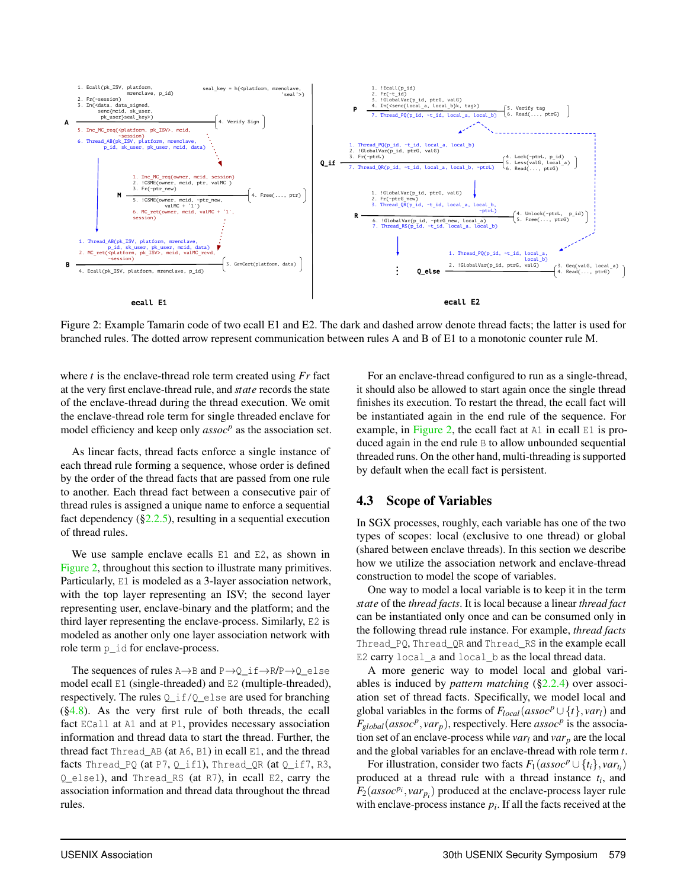

Figure 2: Example Tamarin code of two ecall E1 and E2. The dark and dashed arrow denote thread facts; the latter is used for branched rules. The dotted arrow represent communication between rules A and B of E1 to a monotonic counter rule M.

where *t* is the enclave-thread role term created using *Fr* fact at the very first enclave-thread rule, and *state* records the state of the enclave-thread during the thread execution. We omit the enclave-thread role term for single threaded enclave for model efficiency and keep only *assoc<sup>p</sup>* as the association set.

As linear facts, thread facts enforce a single instance of each thread rule forming a sequence, whose order is defined by the order of the thread facts that are passed from one rule to another. Each thread fact between a consecutive pair of thread rules is assigned a unique name to enforce a sequential fact dependency  $(\S2.2.5)$ , resulting in a sequential execution of thread rules.

We use sample enclave ecalls E1 and E2, as shown in Figure 2, throughout this section to illustrate many primitives. Particularly, E1 is modeled as a 3-layer association network, with the top layer representing an ISV; the second layer representing user, enclave-binary and the platform; and the third layer representing the enclave-process. Similarly, E2 is modeled as another only one layer association network with role term p\_id for enclave-process.

The sequences of rules  $A \rightarrow B$  and  $P \rightarrow Q_i$  if  $\rightarrow R/P \rightarrow Q_e$  lse model ecall E1 (single-threaded) and E2 (multiple-threaded), respectively. The rules Q\_if/Q\_else are used for branching  $(\S4.8)$ . As the very first rule of both threads, the ecall fact ECall at A1 and at P1, provides necessary association information and thread data to start the thread. Further, the thread fact Thread\_AB (at A6, B1) in ecall E1, and the thread facts Thread\_PQ (at P7, Q\_if1), Thread\_QR (at Q\_if7, R3, Q\_else1), and Thread\_RS (at R7), in ecall E2, carry the association information and thread data throughout the thread rules.

For an enclave-thread configured to run as a single-thread, it should also be allowed to start again once the single thread finishes its execution. To restart the thread, the ecall fact will be instantiated again in the end rule of the sequence. For example, in Figure 2, the ecall fact at  $AI$  in ecall  $E1$  is produced again in the end rule B to allow unbounded sequential threaded runs. On the other hand, multi-threading is supported by default when the ecall fact is persistent.

## 4.3 Scope of Variables

In SGX processes, roughly, each variable has one of the two types of scopes: local (exclusive to one thread) or global (shared between enclave threads). In this section we describe how we utilize the association network and enclave-thread construction to model the scope of variables.

One way to model a local variable is to keep it in the term *state* of the *thread facts*. It is local because a linear *thread fact* can be instantiated only once and can be consumed only in the following thread rule instance. For example, *thread facts* Thread\_PQ, Thread\_QR and Thread\_RS in the example ecall E2 carry local\_a and local\_b as the local thread data.

A more generic way to model local and global variables is induced by *pattern matching* (§2.2.4) over association set of thread facts. Specifically, we model local and global variables in the forms of  $F_{local}(assoc P \cup \{t\}, var_l)$  and  $F_{global}(assoc^p, var_p)$ , respectively. Here *assoc*<sup>*p*</sup> is the association set of an enclave-process while *var<sub>l</sub>* and *var<sub>p</sub>* are the local and the global variables for an enclave-thread with role term *t*.

For illustration, consider two facts  $F_1 (assoc^p \cup \{t_i\}, var_{t_i})$ produced at a thread rule with a thread instance *t<sup>i</sup>* , and  $F_2(assoc^{p_i}, var_{p_i})$  produced at the enclave-process layer rule with enclave-process instance  $p_i$ . If all the facts received at the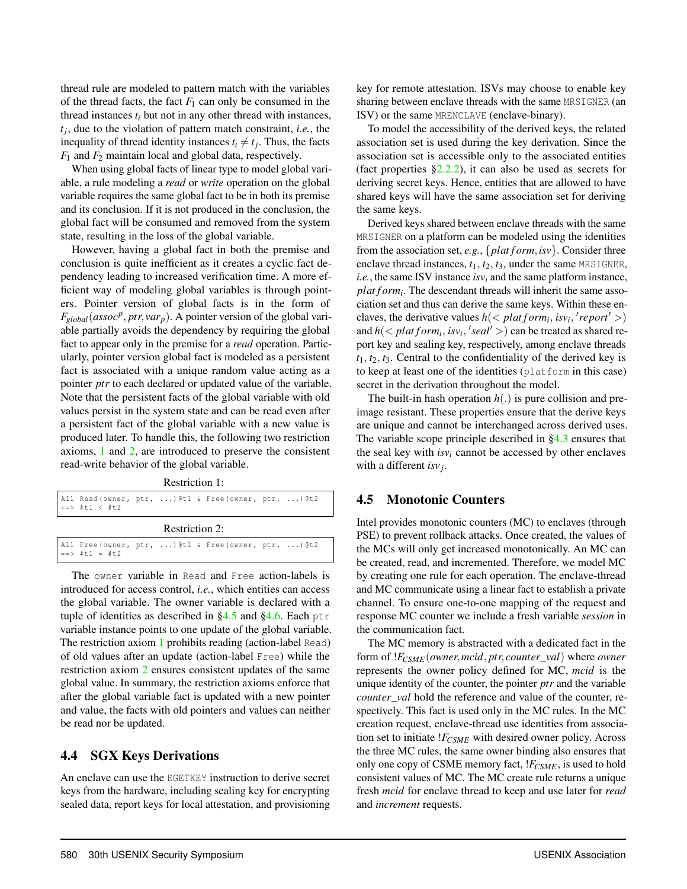thread rule are modeled to pattern match with the variables of the thread facts, the fact  $F_1$  can only be consumed in the thread instances  $t_i$  but not in any other thread with instances, *tj* , due to the violation of pattern match constraint, *i.e.*, the inequality of thread identity instances  $t_i \neq t_j$ . Thus, the facts *F*<sup>1</sup> and *F*<sup>2</sup> maintain local and global data, respectively.

When using global facts of linear type to model global variable, a rule modeling a *read* or *write* operation on the global variable requires the same global fact to be in both its premise and its conclusion. If it is not produced in the conclusion, the global fact will be consumed and removed from the system state, resulting in the loss of the global variable.

However, having a global fact in both the premise and conclusion is quite inefficient as it creates a cyclic fact dependency leading to increased verification time. A more efficient way of modeling global variables is through pointers. Pointer version of global facts is in the form of  $F_{global}(assoc^p,ptr, var_p)$ . A pointer version of the global variable partially avoids the dependency by requiring the global fact to appear only in the premise for a *read* operation. Particularly, pointer version global fact is modeled as a persistent fact is associated with a unique random value acting as a pointer *ptr* to each declared or updated value of the variable. Note that the persistent facts of the global variable with old values persist in the system state and can be read even after a persistent fact of the global variable with a new value is produced later. To handle this, the following two restriction axioms, 1 and 2, are introduced to preserve the consistent read-write behavior of the global variable.

Restriction 1:

|                | All Read (owner, ptr, ) @t1 & Free (owner, ptr, ) @t2<br>$==>$ #t1 < #t2             |  |  |  |  |  |  |  |  |  |
|----------------|--------------------------------------------------------------------------------------|--|--|--|--|--|--|--|--|--|
| Restriction 2: |                                                                                      |  |  |  |  |  |  |  |  |  |
|                | All Free (owner, ptr, ) @t1 & Free (owner, ptr, ) @t2<br>$=$ $\Rightarrow$ #t1 = #t2 |  |  |  |  |  |  |  |  |  |

The owner variable in Read and Free action-labels is introduced for access control, *i.e.*, which entities can access the global variable. The owner variable is declared with a tuple of identities as described in  $\S 4.5$  and  $\S 4.6$ . Each ptr variable instance points to one update of the global variable. The restriction axiom 1 prohibits reading (action-label Read) of old values after an update (action-label Free) while the restriction axiom 2 ensures consistent updates of the same global value. In summary, the restriction axioms enforce that after the global variable fact is updated with a new pointer and value, the facts with old pointers and values can neither be read nor be updated.

## 4.4 SGX Keys Derivations

An enclave can use the EGETKEY instruction to derive secret keys from the hardware, including sealing key for encrypting sealed data, report keys for local attestation, and provisioning key for remote attestation. ISVs may choose to enable key sharing between enclave threads with the same MRSIGNER (an ISV) or the same MRENCLAVE (enclave-binary).

To model the accessibility of the derived keys, the related association set is used during the key derivation. Since the association set is accessible only to the associated entities (fact properties  $\S2.2.2$ ), it can also be used as secrets for deriving secret keys. Hence, entities that are allowed to have shared keys will have the same association set for deriving the same keys.

Derived keys shared between enclave threads with the same MRSIGNER on a platform can be modeled using the identities from the association set, *e.g.*, {*plat f orm*,*isv*}. Consider three enclave thread instances, *t*1, *t*2, *t*3, under the same MRSIGNER, *i.e.*, the same ISV instance  $isv_i$  and the same platform instance, *plat f orm<sup>i</sup>* . The descendant threads will inherit the same association set and thus can derive the same keys. Within these enclaves, the derivative values  $h \left( \frac{\rho}{\epsilon_1} \right)$  *lat form<sub>i</sub>*, *isv<sub>i</sub>*,  $'$  *report'* >) and  $h \left( \langle \text{plant form}_i, \text{is} v_i, \text{'} \text{seal'} \rangle \right)$  can be treated as shared report key and sealing key, respectively, among enclave threads  $t_1, t_2, t_3$ . Central to the confidentiality of the derived key is to keep at least one of the identities (platform in this case) secret in the derivation throughout the model.

The built-in hash operation *h*(.) is pure collision and preimage resistant. These properties ensure that the derive keys are unique and cannot be interchanged across derived uses. The variable scope principle described in §4.3 ensures that the seal key with  $isv_i$  cannot be accessed by other enclaves with a different *isv<sup>j</sup>* .

## 4.5 Monotonic Counters

Intel provides monotonic counters (MC) to enclaves (through PSE) to prevent rollback attacks. Once created, the values of the MCs will only get increased monotonically. An MC can be created, read, and incremented. Therefore, we model MC by creating one rule for each operation. The enclave-thread and MC communicate using a linear fact to establish a private channel. To ensure one-to-one mapping of the request and response MC counter we include a fresh variable *session* in the communication fact.

The MC memory is abstracted with a dedicated fact in the form of !*FCSME*(*owner*,*mcid*, *ptr*, *counter*\_*val*) where *owner* represents the owner policy defined for MC, *mcid* is the unique identity of the counter, the pointer *ptr* and the variable *counter*\_*val* hold the reference and value of the counter, respectively. This fact is used only in the MC rules. In the MC creation request, enclave-thread use identities from association set to initiate !*FCSME* with desired owner policy. Across the three MC rules, the same owner binding also ensures that only one copy of CSME memory fact, !*FCSME*, is used to hold consistent values of MC. The MC create rule returns a unique fresh *mcid* for enclave thread to keep and use later for *read* and *increment* requests.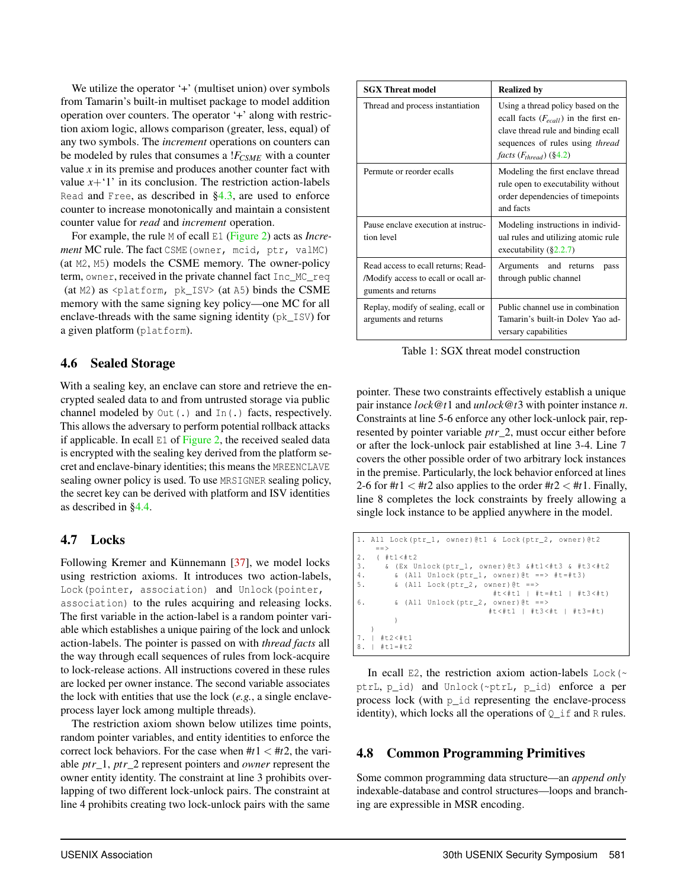We utilize the operator '+' (multiset union) over symbols from Tamarin's built-in multiset package to model addition operation over counters. The operator '+' along with restriction axiom logic, allows comparison (greater, less, equal) of any two symbols. The *increment* operations on counters can be modeled by rules that consumes a !*FCSME* with a counter value *x* in its premise and produces another counter fact with value  $x+1'$  in its conclusion. The restriction action-labels Read and Free, as described in §4.3, are used to enforce counter to increase monotonically and maintain a consistent counter value for *read* and *increment* operation.

For example, the rule M of ecall E1 (Figure 2) acts as *Increment* MC rule. The fact CSME(owner, mcid, ptr, valMC) (at M2, M5) models the CSME memory. The owner-policy term, owner, received in the private channel fact Inc\_MC\_req (at M2) as <platform, pk\_ISV> (at A5) binds the CSME memory with the same signing key policy—one MC for all enclave-threads with the same signing identity (pk\_ISV) for a given platform (platform).

## 4.6 Sealed Storage

With a sealing key, an enclave can store and retrieve the encrypted sealed data to and from untrusted storage via public channel modeled by Out (.) and In(.) facts, respectively. This allows the adversary to perform potential rollback attacks if applicable. In ecall  $E1$  of Figure 2, the received sealed data is encrypted with the sealing key derived from the platform secret and enclave-binary identities; this means the MREENCLAVE sealing owner policy is used. To use MRSIGNER sealing policy, the secret key can be derived with platform and ISV identities as described in §4.4.

# 4.7 Locks

Following Kremer and Künnemann [37], we model locks using restriction axioms. It introduces two action-labels, Lock(pointer, association) and Unlock(pointer, association) to the rules acquiring and releasing locks. The first variable in the action-label is a random pointer variable which establishes a unique pairing of the lock and unlock action-labels. The pointer is passed on with *thread facts* all the way through ecall sequences of rules from lock-acquire to lock-release actions. All instructions covered in these rules are locked per owner instance. The second variable associates the lock with entities that use the lock (*e.g.*, a single enclaveprocess layer lock among multiple threads).

The restriction axiom shown below utilizes time points, random pointer variables, and entity identities to enforce the correct lock behaviors. For the case when  $#t1 < #t2$ , the variable *ptr*\_1, *ptr*\_2 represent pointers and *owner* represent the owner entity identity. The constraint at line 3 prohibits overlapping of two different lock-unlock pairs. The constraint at line 4 prohibits creating two lock-unlock pairs with the same

| <b>SGX Threat model</b>                                                                            | <b>Realized by</b>                                                                                                                                                                               |  |  |  |
|----------------------------------------------------------------------------------------------------|--------------------------------------------------------------------------------------------------------------------------------------------------------------------------------------------------|--|--|--|
| Thread and process instantiation                                                                   | Using a thread policy based on the<br>ecall facts $(F_{ecall})$ in the first en-<br>clave thread rule and binding ecall<br>sequences of rules using <i>thread</i><br>facts $(F_{thread})$ (§4.2) |  |  |  |
| Permute or reorder ecalls                                                                          | Modeling the first enclave thread<br>rule open to executability without<br>order dependencies of timepoints<br>and facts                                                                         |  |  |  |
| Pause enclave execution at instruc-<br>tion level                                                  | Modeling instructions in individ-<br>ual rules and utilizing atomic rule<br>executability $(\S2.2.7)$                                                                                            |  |  |  |
| Read access to ecall returns; Read-<br>/Modify access to ecall or ocall ar-<br>guments and returns | Arguments and returns<br>pass<br>through public channel                                                                                                                                          |  |  |  |
| Replay, modify of sealing, ecall or<br>arguments and returns                                       | Public channel use in combination<br>Tamarin's built-in Dolev Yao ad-<br>versary capabilities                                                                                                    |  |  |  |

Table 1: SGX threat model construction

pointer. These two constraints effectively establish a unique pair instance *lock*@*t*1 and *unlock*@*t*3 with pointer instance *n*. Constraints at line 5-6 enforce any other lock-unlock pair, represented by pointer variable *ptr*\_2, must occur either before or after the lock-unlock pair established at line 3-4. Line 7 covers the other possible order of two arbitrary lock instances in the premise. Particularly, the lock behavior enforced at lines 2-6 for  $\#t1 < \#t2$  also applies to the order  $\#t2 < \#t1$ . Finally, line 8 completes the lock constraints by freely allowing a single lock instance to be applied anywhere in the model.

```
1. All Lock (ptr_1, owner) @t1 & Lock (ptr_2, owner) @t2
      == >
2. ( #t1 <# t2
3. \& (Ex Unlock (ptr_1, owner) \& Etl <#t3 \& #t3 <#t2<br>4. \& (All Unlock (ptr 1, owner) \& = = > #t=#t3)
4. \& \text{(All Unlock (ptr_1, owner) @t ==> #t = #t3)}<br>5. \& \text{(All Lock (ptr 2, owner) @t ==>)}& 0.11 Lock (ptr_2, owner) 0t ==#t <# t1 | #t =# t1 | #t3 <# t)
6. \& \text{ (All Unlock (ptr_2, owner) @t ==>}#t <# t1 | #t3 <# t | # t3 =# t)
            )
    )
7. | #t2 <# t1
8. \mid \# t1 = \# t2
```
In ecall E2, the restriction axiom action-labels Lock( $\sim$ ptrL, p\_id) and Unlock(~ptrL, p\_id) enforce a per process lock (with p\_id representing the enclave-process identity), which locks all the operations of  $Q_i$  if and R rules.

# 4.8 Common Programming Primitives

Some common programming data structure—an *append only* indexable-database and control structures—loops and branching are expressible in MSR encoding.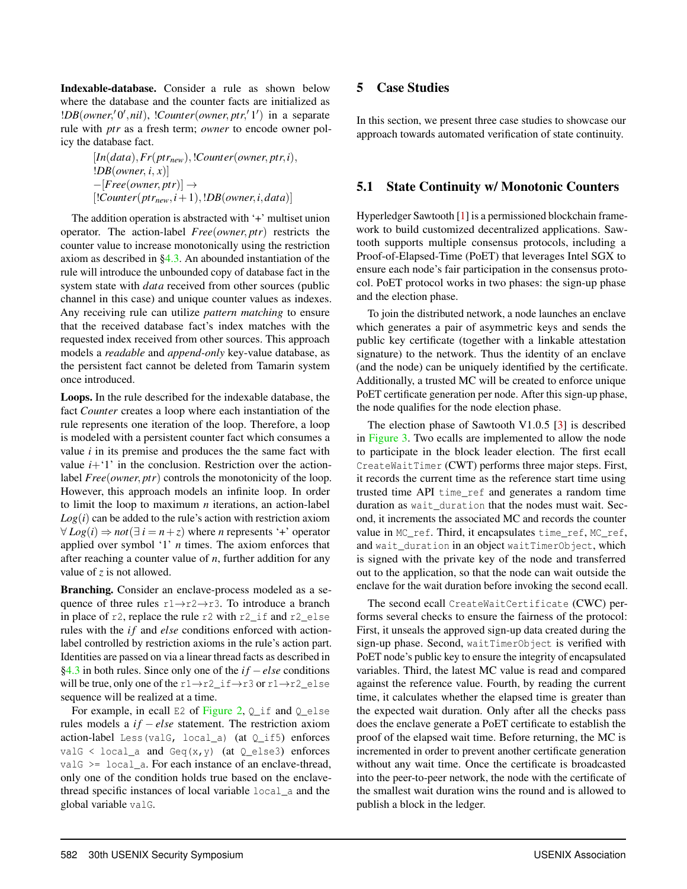Indexable-database. Consider a rule as shown below where the database and the counter facts are initialized as !*DB*(*owner*,'0',nil), !*Counter*(*owner*, *ptr*,'1') in a separate rule with *ptr* as a fresh term; *owner* to encode owner policy the database fact.

> $[In(data), Fr(ptr_{new}), !Counter(owner,ptr,i),$ !*DB*(*owner*, *i*, *x*)] −[*Free*(*owner*, *ptr*)] →  $[!Counter(ptr<sub>new</sub>, i+1), !DB(owner, i, data)]$

The addition operation is abstracted with '+' multiset union operator. The action-label *Free*(*owner*, *ptr*) restricts the counter value to increase monotonically using the restriction axiom as described in §4.3. An abounded instantiation of the rule will introduce the unbounded copy of database fact in the system state with *data* received from other sources (public channel in this case) and unique counter values as indexes. Any receiving rule can utilize *pattern matching* to ensure that the received database fact's index matches with the requested index received from other sources. This approach models a *readable* and *append-only* key-value database, as the persistent fact cannot be deleted from Tamarin system once introduced.

Loops. In the rule described for the indexable database, the fact *Counter* creates a loop where each instantiation of the rule represents one iteration of the loop. Therefore, a loop is modeled with a persistent counter fact which consumes a value *i* in its premise and produces the the same fact with value  $i+1$ <sup>'</sup> in the conclusion. Restriction over the actionlabel *Free*(*owner*, *ptr*) controls the monotonicity of the loop. However, this approach models an infinite loop. In order to limit the loop to maximum *n* iterations, an action-label  $Log(i)$  can be added to the rule's action with restriction axiom  $∀ Log(i) ⇒ not(∃ i = n + z) where n represents '+' operator$ applied over symbol '1' *n* times. The axiom enforces that after reaching a counter value of *n*, further addition for any value of *z* is not allowed.

Branching. Consider an enclave-process modeled as a sequence of three rules r1→r2→r3. To introduce a branch in place of r2, replace the rule r2 with r2\_if and r2\_else rules with the *if* and *else* conditions enforced with actionlabel controlled by restriction axioms in the rule's action part. Identities are passed on via a linear thread facts as described in §4.3 in both rules. Since only one of the *if* − *else* conditions will be true, only one of the  $r1\rightarrow r2$  if  $\rightarrow r3$  or  $r1\rightarrow r2$  else sequence will be realized at a time.

For example, in ecall E2 of Figure 2,  $Q$  if and  $Q$  else rules models a *if* − *else* statement. The restriction axiom action-label Less(valG, local\_a) (at Q\_if5) enforces valG < local\_a and Geq(x, y) (at  $Q$ \_else3) enforces val $G \geq 1$  local a. For each instance of an enclave-thread, only one of the condition holds true based on the enclavethread specific instances of local variable local\_a and the global variable valG.

## 5 Case Studies

In this section, we present three case studies to showcase our approach towards automated verification of state continuity.

## 5.1 State Continuity w/ Monotonic Counters

Hyperledger Sawtooth [1] is a permissioned blockchain framework to build customized decentralized applications. Sawtooth supports multiple consensus protocols, including a Proof-of-Elapsed-Time (PoET) that leverages Intel SGX to ensure each node's fair participation in the consensus protocol. PoET protocol works in two phases: the sign-up phase and the election phase.

To join the distributed network, a node launches an enclave which generates a pair of asymmetric keys and sends the public key certificate (together with a linkable attestation signature) to the network. Thus the identity of an enclave (and the node) can be uniquely identified by the certificate. Additionally, a trusted MC will be created to enforce unique PoET certificate generation per node. After this sign-up phase, the node qualifies for the node election phase.

The election phase of Sawtooth V1.0.5 [3] is described in Figure 3. Two ecalls are implemented to allow the node to participate in the block leader election. The first ecall CreateWaitTimer (CWT) performs three major steps. First, it records the current time as the reference start time using trusted time API time\_ref and generates a random time duration as wait\_duration that the nodes must wait. Second, it increments the associated MC and records the counter value in MC\_ref. Third, it encapsulates time\_ref, MC\_ref, and wait\_duration in an object waitTimerObject, which is signed with the private key of the node and transferred out to the application, so that the node can wait outside the enclave for the wait duration before invoking the second ecall.

The second ecall CreateWaitCertificate (CWC) performs several checks to ensure the fairness of the protocol: First, it unseals the approved sign-up data created during the sign-up phase. Second, waitTimerObject is verified with PoET node's public key to ensure the integrity of encapsulated variables. Third, the latest MC value is read and compared against the reference value. Fourth, by reading the current time, it calculates whether the elapsed time is greater than the expected wait duration. Only after all the checks pass does the enclave generate a PoET certificate to establish the proof of the elapsed wait time. Before returning, the MC is incremented in order to prevent another certificate generation without any wait time. Once the certificate is broadcasted into the peer-to-peer network, the node with the certificate of the smallest wait duration wins the round and is allowed to publish a block in the ledger.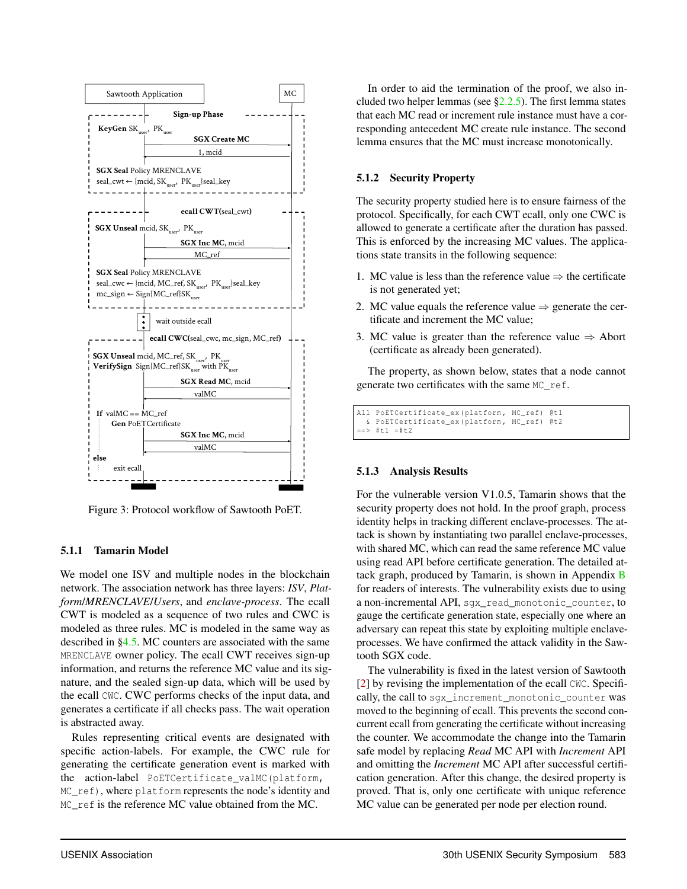

Figure 3: Protocol workflow of Sawtooth PoET.

### 5.1.1 Tamarin Model

We model one ISV and multiple nodes in the blockchain network. The association network has three layers: *ISV*, *Platform*/*MRENCLAVE*/*Users*, and *enclave-process*. The ecall CWT is modeled as a sequence of two rules and CWC is modeled as three rules. MC is modeled in the same way as described in §4.5. MC counters are associated with the same MRENCLAVE owner policy. The ecall CWT receives sign-up information, and returns the reference MC value and its signature, and the sealed sign-up data, which will be used by the ecall CWC. CWC performs checks of the input data, and generates a certificate if all checks pass. The wait operation is abstracted away.

Rules representing critical events are designated with specific action-labels. For example, the CWC rule for generating the certificate generation event is marked with the action-label PoETCertificate\_valMC(platform, MC ref), where platform represents the node's identity and MC ref is the reference MC value obtained from the MC.

In order to aid the termination of the proof, we also included two helper lemmas (see  $\S2.2.5$ ). The first lemma states that each MC read or increment rule instance must have a corresponding antecedent MC create rule instance. The second lemma ensures that the MC must increase monotonically.

## 5.1.2 Security Property

The security property studied here is to ensure fairness of the protocol. Specifically, for each CWT ecall, only one CWC is allowed to generate a certificate after the duration has passed. This is enforced by the increasing MC values. The applications state transits in the following sequence:

- 1. MC value is less than the reference value  $\Rightarrow$  the certificate is not generated yet;
- 2. MC value equals the reference value  $\Rightarrow$  generate the certificate and increment the MC value;
- 3. MC value is greater than the reference value  $\Rightarrow$  Abort (certificate as already been generated).

The property, as shown below, states that a node cannot generate two certificates with the same MC\_ref.

All PoETCertificate\_ex (platform, MC\_ref) @t1 & PoETCertificate\_ex ( platform , MC\_ref ) @t2  $==> #t1 = #t2$ 

## 5.1.3 Analysis Results

For the vulnerable version V1.0.5, Tamarin shows that the security property does not hold. In the proof graph, process identity helps in tracking different enclave-processes. The attack is shown by instantiating two parallel enclave-processes, with shared MC, which can read the same reference MC value using read API before certificate generation. The detailed attack graph, produced by Tamarin, is shown in Appendix B for readers of interests. The vulnerability exists due to using a non-incremental API, sgx\_read\_monotonic\_counter, to gauge the certificate generation state, especially one where an adversary can repeat this state by exploiting multiple enclaveprocesses. We have confirmed the attack validity in the Sawtooth SGX code.

The vulnerability is fixed in the latest version of Sawtooth [2] by revising the implementation of the ecall CWC. Specifically, the call to sgx\_increment\_monotonic\_counter was moved to the beginning of ecall. This prevents the second concurrent ecall from generating the certificate without increasing the counter. We accommodate the change into the Tamarin safe model by replacing *Read* MC API with *Increment* API and omitting the *Increment* MC API after successful certification generation. After this change, the desired property is proved. That is, only one certificate with unique reference MC value can be generated per node per election round.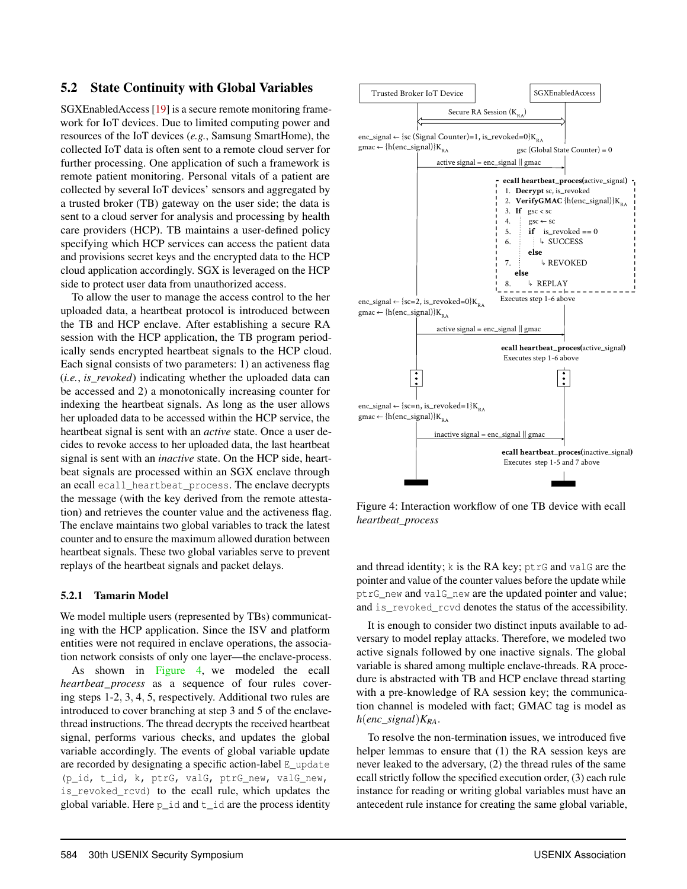## 5.2 State Continuity with Global Variables

SGXEnabledAccess [19] is a secure remote monitoring framework for IoT devices. Due to limited computing power and resources of the IoT devices (*e.g.*, Samsung SmartHome), the collected IoT data is often sent to a remote cloud server for further processing. One application of such a framework is remote patient monitoring. Personal vitals of a patient are collected by several IoT devices' sensors and aggregated by a trusted broker (TB) gateway on the user side; the data is sent to a cloud server for analysis and processing by health care providers (HCP). TB maintains a user-defined policy specifying which HCP services can access the patient data and provisions secret keys and the encrypted data to the HCP cloud application accordingly. SGX is leveraged on the HCP side to protect user data from unauthorized access.

To allow the user to manage the access control to the her uploaded data, a heartbeat protocol is introduced between the TB and HCP enclave. After establishing a secure RA session with the HCP application, the TB program periodically sends encrypted heartbeat signals to the HCP cloud. Each signal consists of two parameters: 1) an activeness flag (*i.e.*, *is*\_*revoked*) indicating whether the uploaded data can be accessed and 2) a monotonically increasing counter for indexing the heartbeat signals. As long as the user allows her uploaded data to be accessed within the HCP service, the heartbeat signal is sent with an *active* state. Once a user decides to revoke access to her uploaded data, the last heartbeat signal is sent with an *inactive* state. On the HCP side, heartbeat signals are processed within an SGX enclave through an ecall ecall\_heartbeat\_process. The enclave decrypts the message (with the key derived from the remote attestation) and retrieves the counter value and the activeness flag. The enclave maintains two global variables to track the latest counter and to ensure the maximum allowed duration between heartbeat signals. These two global variables serve to prevent replays of the heartbeat signals and packet delays.

### 5.2.1 Tamarin Model

We model multiple users (represented by TBs) communicating with the HCP application. Since the ISV and platform entities were not required in enclave operations, the association network consists of only one layer—the enclave-process. As shown in Figure 4, we modeled the ecall

*heartbeat*\_*process* as a sequence of four rules covering steps 1-2, 3, 4, 5, respectively. Additional two rules are introduced to cover branching at step 3 and 5 of the enclavethread instructions. The thread decrypts the received heartbeat signal, performs various checks, and updates the global variable accordingly. The events of global variable update are recorded by designating a specific action-label E\_update (p\_id, t\_id, k, ptrG, valG, ptrG\_new, valG\_new, is revoked rcvd) to the ecall rule, which updates the global variable. Here  $p$  id and  $t$  id are the process identity



Figure 4: Interaction workflow of one TB device with ecall *heartbeat\_process*

and thread identity; k is the RA key; ptrG and valG are the pointer and value of the counter values before the update while ptrG\_new and valG\_new are the updated pointer and value; and is\_revoked\_rcvd denotes the status of the accessibility.

It is enough to consider two distinct inputs available to adversary to model replay attacks. Therefore, we modeled two active signals followed by one inactive signals. The global variable is shared among multiple enclave-threads. RA procedure is abstracted with TB and HCP enclave thread starting with a pre-knowledge of RA session key; the communication channel is modeled with fact; GMAC tag is model as *h*(*enc*\_*signal*)*KRA*.

To resolve the non-termination issues, we introduced five helper lemmas to ensure that (1) the RA session keys are never leaked to the adversary, (2) the thread rules of the same ecall strictly follow the specified execution order, (3) each rule instance for reading or writing global variables must have an antecedent rule instance for creating the same global variable,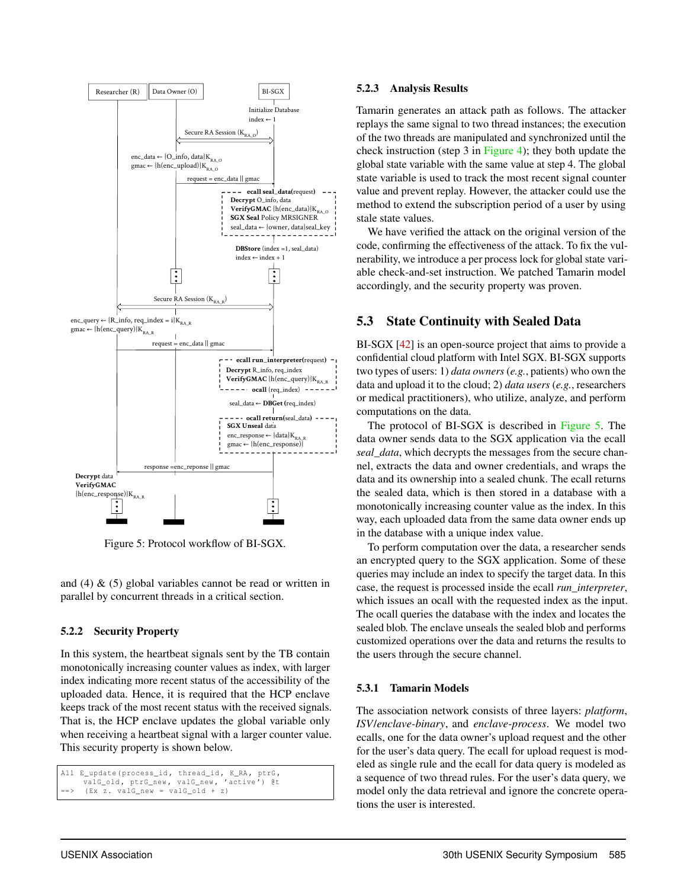

Figure 5: Protocol workflow of BI-SGX.

and  $(4)$  &  $(5)$  global variables cannot be read or written in parallel by concurrent threads in a critical section.

## 5.2.2 Security Property

In this system, the heartbeat signals sent by the TB contain monotonically increasing counter values as index, with larger index indicating more recent status of the accessibility of the uploaded data. Hence, it is required that the HCP enclave keeps track of the most recent status with the received signals. That is, the HCP enclave updates the global variable only when receiving a heartbeat signal with a larger counter value. This security property is shown below.

```
All E_update (process_id, thread_id, K_RA, ptrG,
     valG_old , ptrG_new , valG_new , 'active ') @t
     (EX z. valG_new = valG_Ald + z)
```
### 5.2.3 Analysis Results

Tamarin generates an attack path as follows. The attacker replays the same signal to two thread instances; the execution of the two threads are manipulated and synchronized until the check instruction (step 3 in Figure 4); they both update the global state variable with the same value at step 4. The global state variable is used to track the most recent signal counter value and prevent replay. However, the attacker could use the method to extend the subscription period of a user by using stale state values.

We have verified the attack on the original version of the code, confirming the effectiveness of the attack. To fix the vulnerability, we introduce a per process lock for global state variable check-and-set instruction. We patched Tamarin model accordingly, and the security property was proven.

# 5.3 State Continuity with Sealed Data

BI-SGX [42] is an open-source project that aims to provide a confidential cloud platform with Intel SGX. BI-SGX supports two types of users: 1) *data owners* (*e.g.*, patients) who own the data and upload it to the cloud; 2) *data users* (*e.g.*, researchers or medical practitioners), who utilize, analyze, and perform computations on the data.

The protocol of BI-SGX is described in Figure 5. The data owner sends data to the SGX application via the ecall *seal\_data*, which decrypts the messages from the secure channel, extracts the data and owner credentials, and wraps the data and its ownership into a sealed chunk. The ecall returns the sealed data, which is then stored in a database with a monotonically increasing counter value as the index. In this way, each uploaded data from the same data owner ends up in the database with a unique index value.

To perform computation over the data, a researcher sends an encrypted query to the SGX application. Some of these queries may include an index to specify the target data. In this case, the request is processed inside the ecall *run\_interpreter*, which issues an ocall with the requested index as the input. The ocall queries the database with the index and locates the sealed blob. The enclave unseals the sealed blob and performs customized operations over the data and returns the results to the users through the secure channel.

## 5.3.1 Tamarin Models

The association network consists of three layers: *platform*, *ISV*/*enclave-binary*, and *enclave-process*. We model two ecalls, one for the data owner's upload request and the other for the user's data query. The ecall for upload request is modeled as single rule and the ecall for data query is modeled as a sequence of two thread rules. For the user's data query, we model only the data retrieval and ignore the concrete operations the user is interested.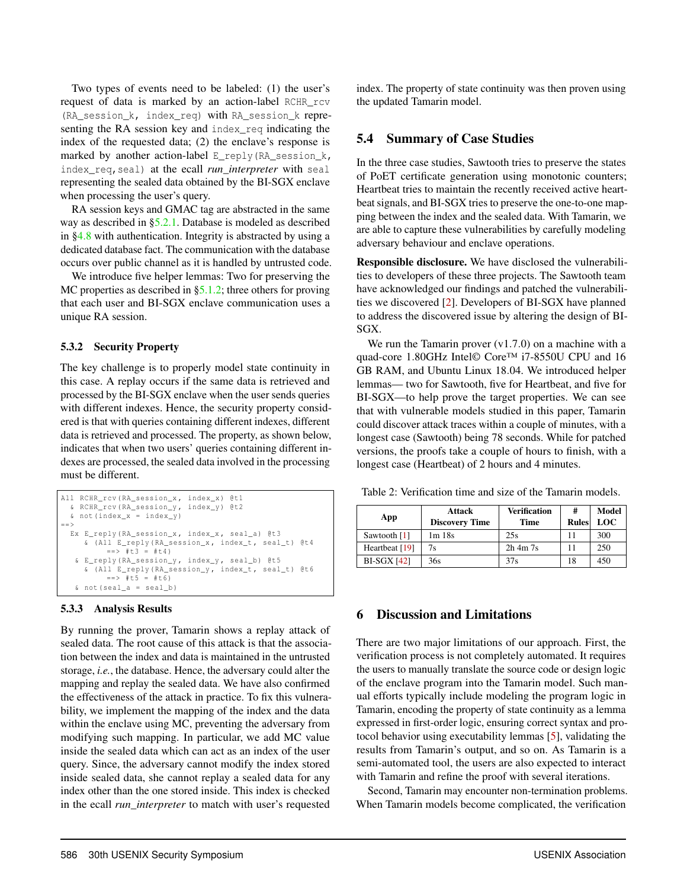Two types of events need to be labeled: (1) the user's request of data is marked by an action-label RCHR\_rcv (RA session  $k$ , index req) with RA session  $k$  representing the RA session key and index\_req indicating the index of the requested data; (2) the enclave's response is marked by another action-label E\_reply(RA\_session  $k$ , index\_req,seal) at the ecall *run\_interpreter* with seal representing the sealed data obtained by the BI-SGX enclave when processing the user's query.

RA session keys and GMAC tag are abstracted in the same way as described in §5.2.1. Database is modeled as described in §4.8 with authentication. Integrity is abstracted by using a dedicated database fact. The communication with the database occurs over public channel as it is handled by untrusted code.

We introduce five helper lemmas: Two for preserving the MC properties as described in §5.1.2; three others for proving that each user and BI-SGX enclave communication uses a unique RA session.

### 5.3.2 Security Property

The key challenge is to properly model state continuity in this case. A replay occurs if the same data is retrieved and processed by the BI-SGX enclave when the user sends queries with different indexes. Hence, the security property considered is that with queries containing different indexes, different data is retrieved and processed. The property, as shown below, indicates that when two users' queries containing different indexes are processed, the sealed data involved in the processing must be different.

```
All RCHR_rcv (RA_session_x, index_x) @t1
 & RCHR_rcv ( RA_session_y , index_y ) @t2
  \& not (index_x = index_y)
== >
 Ex E_reply (RA_session_x, index_x, seal_a) @t3
     & ( All E_reply ( RA_session_x , index_t , seal_t ) @t4
          == #t3 = #t4)
   & E_reply ( RA_session_y , index_y , seal_b ) @t5
     & ( All E_reply ( RA_session_y , index_t , seal_t ) @t6
          = = + t5 = + t6)
   \& not (seal_a = seal_b)
```
### 5.3.3 Analysis Results

By running the prover, Tamarin shows a replay attack of sealed data. The root cause of this attack is that the association between the index and data is maintained in the untrusted storage, *i.e.*, the database. Hence, the adversary could alter the mapping and replay the sealed data. We have also confirmed the effectiveness of the attack in practice. To fix this vulnerability, we implement the mapping of the index and the data within the enclave using MC, preventing the adversary from modifying such mapping. In particular, we add MC value inside the sealed data which can act as an index of the user query. Since, the adversary cannot modify the index stored inside sealed data, she cannot replay a sealed data for any index other than the one stored inside. This index is checked in the ecall *run\_interpreter* to match with user's requested

index. The property of state continuity was then proven using the updated Tamarin model.

## 5.4 Summary of Case Studies

In the three case studies, Sawtooth tries to preserve the states of PoET certificate generation using monotonic counters; Heartbeat tries to maintain the recently received active heartbeat signals, and BI-SGX tries to preserve the one-to-one mapping between the index and the sealed data. With Tamarin, we are able to capture these vulnerabilities by carefully modeling adversary behaviour and enclave operations.

Responsible disclosure. We have disclosed the vulnerabilities to developers of these three projects. The Sawtooth team have acknowledged our findings and patched the vulnerabilities we discovered [2]. Developers of BI-SGX have planned to address the discovered issue by altering the design of BI-SGX.

We run the Tamarin prover  $(v1.7.0)$  on a machine with a quad-core 1.80GHz Intel© Core™ i7-8550U CPU and 16 GB RAM, and Ubuntu Linux 18.04. We introduced helper lemmas— two for Sawtooth, five for Heartbeat, and five for BI-SGX—to help prove the target properties. We can see that with vulnerable models studied in this paper, Tamarin could discover attack traces within a couple of minutes, with a longest case (Sawtooth) being 78 seconds. While for patched versions, the proofs take a couple of hours to finish, with a longest case (Heartbeat) of 2 hours and 4 minutes.

Table 2: Verification time and size of the Tamarin models.

| App            | <b>Attack</b><br><b>Discovery Time</b> | <b>Verification</b><br><b>Time</b> | #<br><b>Rules</b> | Model<br>LOC |
|----------------|----------------------------------------|------------------------------------|-------------------|--------------|
| Sawtooth [1]   | $1m$ 18s                               | 25s                                | 11                | 300          |
| Heartbeat [19] | 7s                                     | $2h$ 4m $7s$                       | 11                | 250          |
| $BI-SGX$ [42]  | 36s                                    | 37s                                | 18                | 450          |

# 6 Discussion and Limitations

There are two major limitations of our approach. First, the verification process is not completely automated. It requires the users to manually translate the source code or design logic of the enclave program into the Tamarin model. Such manual efforts typically include modeling the program logic in Tamarin, encoding the property of state continuity as a lemma expressed in first-order logic, ensuring correct syntax and protocol behavior using executability lemmas [5], validating the results from Tamarin's output, and so on. As Tamarin is a semi-automated tool, the users are also expected to interact with Tamarin and refine the proof with several iterations.

Second, Tamarin may encounter non-termination problems. When Tamarin models become complicated, the verification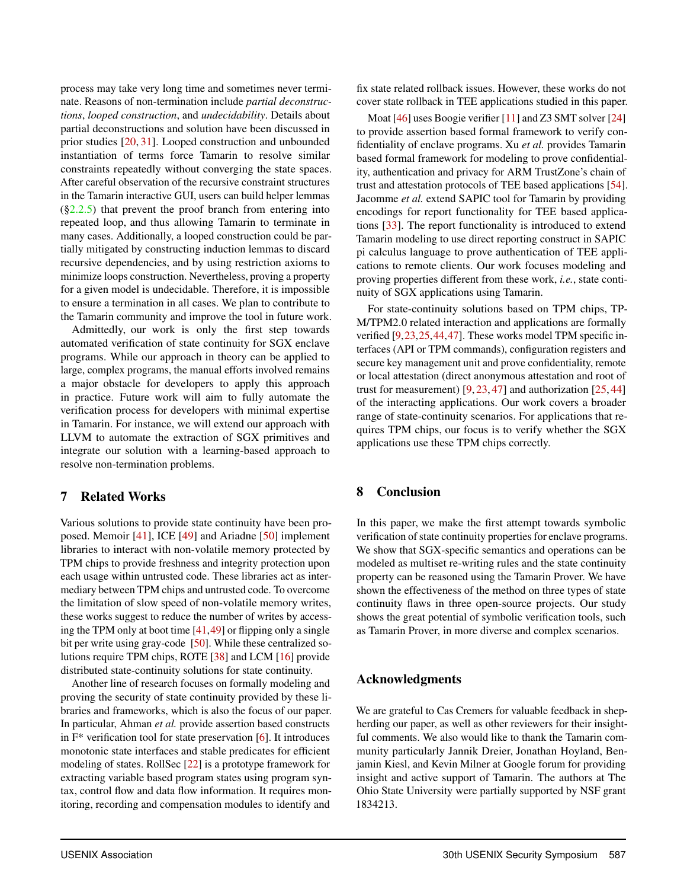process may take very long time and sometimes never terminate. Reasons of non-termination include *partial deconstructions*, *looped construction*, and *undecidability*. Details about partial deconstructions and solution have been discussed in prior studies [20, 31]. Looped construction and unbounded instantiation of terms force Tamarin to resolve similar constraints repeatedly without converging the state spaces. After careful observation of the recursive constraint structures in the Tamarin interactive GUI, users can build helper lemmas  $(\S2.2.5)$  that prevent the proof branch from entering into repeated loop, and thus allowing Tamarin to terminate in many cases. Additionally, a looped construction could be partially mitigated by constructing induction lemmas to discard recursive dependencies, and by using restriction axioms to minimize loops construction. Nevertheless, proving a property for a given model is undecidable. Therefore, it is impossible to ensure a termination in all cases. We plan to contribute to the Tamarin community and improve the tool in future work.

Admittedly, our work is only the first step towards automated verification of state continuity for SGX enclave programs. While our approach in theory can be applied to large, complex programs, the manual efforts involved remains a major obstacle for developers to apply this approach in practice. Future work will aim to fully automate the verification process for developers with minimal expertise in Tamarin. For instance, we will extend our approach with LLVM to automate the extraction of SGX primitives and integrate our solution with a learning-based approach to resolve non-termination problems.

## 7 Related Works

Various solutions to provide state continuity have been proposed. Memoir [41], ICE [49] and Ariadne [50] implement libraries to interact with non-volatile memory protected by TPM chips to provide freshness and integrity protection upon each usage within untrusted code. These libraries act as intermediary between TPM chips and untrusted code. To overcome the limitation of slow speed of non-volatile memory writes, these works suggest to reduce the number of writes by accessing the TPM only at boot time [41,49] or flipping only a single bit per write using gray-code [50]. While these centralized solutions require TPM chips, ROTE [38] and LCM [16] provide distributed state-continuity solutions for state continuity.

Another line of research focuses on formally modeling and proving the security of state continuity provided by these libraries and frameworks, which is also the focus of our paper. In particular, Ahman *et al.* provide assertion based constructs in  $F^*$  verification tool for state preservation [6]. It introduces monotonic state interfaces and stable predicates for efficient modeling of states. RollSec [22] is a prototype framework for extracting variable based program states using program syntax, control flow and data flow information. It requires monitoring, recording and compensation modules to identify and

fix state related rollback issues. However, these works do not cover state rollback in TEE applications studied in this paper.

Moat [46] uses Boogie verifier [11] and Z3 SMT solver [24] to provide assertion based formal framework to verify confidentiality of enclave programs. Xu *et al.* provides Tamarin based formal framework for modeling to prove confidentiality, authentication and privacy for ARM TrustZone's chain of trust and attestation protocols of TEE based applications [54]. Jacomme *et al.* extend SAPIC tool for Tamarin by providing encodings for report functionality for TEE based applications [33]. The report functionality is introduced to extend Tamarin modeling to use direct reporting construct in SAPIC pi calculus language to prove authentication of TEE applications to remote clients. Our work focuses modeling and proving properties different from these work, *i.e.*, state continuity of SGX applications using Tamarin.

For state-continuity solutions based on TPM chips, TP-M/TPM2.0 related interaction and applications are formally verified [9,23,25,44,47]. These works model TPM specific interfaces (API or TPM commands), configuration registers and secure key management unit and prove confidentiality, remote or local attestation (direct anonymous attestation and root of trust for measurement)  $[9, 23, 47]$  and authorization  $[25, 44]$ of the interacting applications. Our work covers a broader range of state-continuity scenarios. For applications that requires TPM chips, our focus is to verify whether the SGX applications use these TPM chips correctly.

## 8 Conclusion

In this paper, we make the first attempt towards symbolic verification of state continuity properties for enclave programs. We show that SGX-specific semantics and operations can be modeled as multiset re-writing rules and the state continuity property can be reasoned using the Tamarin Prover. We have shown the effectiveness of the method on three types of state continuity flaws in three open-source projects. Our study shows the great potential of symbolic verification tools, such as Tamarin Prover, in more diverse and complex scenarios.

## Acknowledgments

We are grateful to Cas Cremers for valuable feedback in shepherding our paper, as well as other reviewers for their insightful comments. We also would like to thank the Tamarin community particularly Jannik Dreier, Jonathan Hoyland, Benjamin Kiesl, and Kevin Milner at Google forum for providing insight and active support of Tamarin. The authors at The Ohio State University were partially supported by NSF grant 1834213.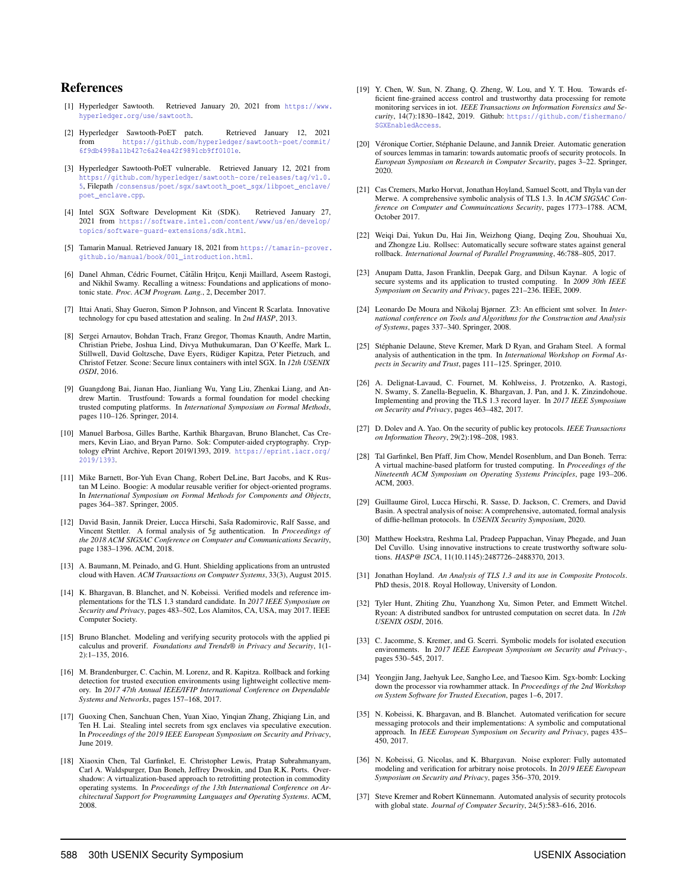### References

- [1] Hyperledger Sawtooth. Retrieved January 20, 2021 from https://www. hyperledger.org/use/sawtooth.
- [2] Hyperledger Sawtooth-PoET patch. Retrieved January 12, 2021 from https://github.com/hyperledger/sawtooth-poet/commit/ 6f9db4998a11b427c6a24ea42f9891cb9ff0101e.
- [3] Hyperledger Sawtooth-PoET vulnerable. Retrieved January 12, 2021 from https://github.com/hyperledger/sawtooth-core/releases/tag/v1.0. 5, Filepath /consensus/poet/sgx/sawtooth\_poet\_sgx/libpoet\_enclave/ poet\_enclave.cpp.
- [4] Intel SGX Software Development Kit (SDK). Retrieved January 27, 2021 from https://software.intel.com/content/www/us/en/develop/ topics/software-guard-extensions/sdk.html.
- [5] Tamarin Manual. Retrieved January 18, 2021 from https://tamarin-prover. github.io/manual/book/001\_introduction.html.
- [6] Danel Ahman, Cédric Fournet, Cătălin Hrițcu, Kenji Maillard, Aseem Rastogi, and Nikhil Swamy. Recalling a witness: Foundations and applications of monotonic state. *Proc. ACM Program. Lang.*, 2, December 2017.
- [7] Ittai Anati, Shay Gueron, Simon P Johnson, and Vincent R Scarlata. Innovative technology for cpu based attestation and sealing. In *2nd HASP*, 2013.
- [8] Sergei Arnautov, Bohdan Trach, Franz Gregor, Thomas Knauth, Andre Martin, Christian Priebe, Joshua Lind, Divya Muthukumaran, Dan O'Keeffe, Mark L. Stillwell, David Goltzsche, Dave Eyers, Rüdiger Kapitza, Peter Pietzuch, and Christof Fetzer. Scone: Secure linux containers with intel SGX. In *12th USENIX OSDI*, 2016.
- [9] Guangdong Bai, Jianan Hao, Jianliang Wu, Yang Liu, Zhenkai Liang, and Andrew Martin. Trustfound: Towards a formal foundation for model checking trusted computing platforms. In *International Symposium on Formal Methods*, pages 110–126. Springer, 2014.
- [10] Manuel Barbosa, Gilles Barthe, Karthik Bhargavan, Bruno Blanchet, Cas Cremers, Kevin Liao, and Bryan Parno. Sok: Computer-aided cryptography. Cryptology ePrint Archive, Report 2019/1393, 2019. https://eprint.iacr.org/ 2019/1393.
- [11] Mike Barnett, Bor-Yuh Evan Chang, Robert DeLine, Bart Jacobs, and K Rustan M Leino. Boogie: A modular reusable verifier for object-oriented programs. In *International Symposium on Formal Methods for Components and Objects*, pages 364–387. Springer, 2005.
- [12] David Basin, Jannik Dreier, Lucca Hirschi, Saša Radomirovic, Ralf Sasse, and Vincent Stettler. A formal analysis of 5g authentication. In *Proceedings of the 2018 ACM SIGSAC Conference on Computer and Communications Security*, page 1383–1396. ACM, 2018.
- [13] A. Baumann, M. Peinado, and G. Hunt. Shielding applications from an untrusted cloud with Haven. *ACM Transactions on Computer Systems*, 33(3), August 2015.
- [14] K. Bhargavan, B. Blanchet, and N. Kobeissi. Verified models and reference implementations for the TLS 1.3 standard candidate. In *2017 IEEE Symposium on Security and Privacy*, pages 483–502, Los Alamitos, CA, USA, may 2017. IEEE Computer Society.
- [15] Bruno Blanchet. Modeling and verifying security protocols with the applied pi calculus and proverif. *Foundations and Trends® in Privacy and Security*, 1(1- 2):1–135, 2016.
- [16] M. Brandenburger, C. Cachin, M. Lorenz, and R. Kapitza. Rollback and forking detection for trusted execution environments using lightweight collective memory. In *2017 47th Annual IEEE/IFIP International Conference on Dependable Systems and Networks*, pages 157–168, 2017.
- [17] Guoxing Chen, Sanchuan Chen, Yuan Xiao, Yinqian Zhang, Zhiqiang Lin, and Ten H. Lai. Stealing intel secrets from sgx enclaves via speculative execution. In *Proceedings of the 2019 IEEE European Symposium on Security and Privacy*, June 2019.
- [18] Xiaoxin Chen, Tal Garfinkel, E. Christopher Lewis, Pratap Subrahmanyam, Carl A. Waldspurger, Dan Boneh, Jeffrey Dwoskin, and Dan R.K. Ports. Overshadow: A virtualization-based approach to retrofitting protection in commodity operating systems. In *Proceedings of the 13th International Conference on Architectural Support for Programming Languages and Operating Systems*. ACM, 2008.
- [19] Y. Chen, W. Sun, N. Zhang, O. Zheng, W. Lou, and Y. T. Hou. Towards efficient fine-grained access control and trustworthy data processing for remote monitoring services in iot. *IEEE Transactions on Information Forensics and Security*, 14(7):1830–1842, 2019. Github: https://github.com/fishermano/ SGXEnabledAccess.
- [20] Véronique Cortier, Stéphanie Delaune, and Jannik Dreier. Automatic generation of sources lemmas in tamarin: towards automatic proofs of security protocols. In *European Symposium on Research in Computer Security*, pages 3–22. Springer, 2020.
- [21] Cas Cremers, Marko Horvat, Jonathan Hoyland, Samuel Scott, and Thyla van der Merwe. A comprehensive symbolic analysis of TLS 1.3. In *ACM SIGSAC Conference on Computer and Commuincations Security*, pages 1773–1788. ACM, October 2017.
- [22] Weiqi Dai, Yukun Du, Hai Jin, Weizhong Qiang, Deqing Zou, Shouhuai Xu, and Zhongze Liu. Rollsec: Automatically secure software states against general rollback. *International Journal of Parallel Programming*, 46:788–805, 2017.
- [23] Anupam Datta, Jason Franklin, Deepak Garg, and Dilsun Kaynar. A logic of secure systems and its application to trusted computing. In *2009 30th IEEE Symposium on Security and Privacy*, pages 221–236. IEEE, 2009.
- [24] Leonardo De Moura and Nikolaj Bjørner. Z3: An efficient smt solver. In *International conference on Tools and Algorithms for the Construction and Analysis of Systems*, pages 337–340. Springer, 2008.
- [25] Stéphanie Delaune, Steve Kremer, Mark D Ryan, and Graham Steel. A formal analysis of authentication in the tpm. In *International Workshop on Formal Aspects in Security and Trust*, pages 111–125. Springer, 2010.
- [26] A. Delignat-Lavaud, C. Fournet, M. Kohlweiss, J. Protzenko, A. Rastogi, N. Swamy, S. Zanella-Beguelin, K. Bhargavan, J. Pan, and J. K. Zinzindohoue. Implementing and proving the TLS 1.3 record layer. In *2017 IEEE Symposium on Security and Privacy*, pages 463–482, 2017.
- [27] D. Dolev and A. Yao. On the security of public key protocols. *IEEE Transactions on Information Theory*, 29(2):198–208, 1983.
- [28] Tal Garfinkel, Ben Pfaff, Jim Chow, Mendel Rosenblum, and Dan Boneh. Terra: A virtual machine-based platform for trusted computing. In *Proceedings of the Nineteenth ACM Symposium on Operating Systems Principles*, page 193–206. ACM, 2003.
- [29] Guillaume Girol, Lucca Hirschi, R. Sasse, D. Jackson, C. Cremers, and David Basin. A spectral analysis of noise: A comprehensive, automated, formal analysis of diffie-hellman protocols. In *USENIX Security Symposium*, 2020.
- [30] Matthew Hoekstra, Reshma Lal, Pradeep Pappachan, Vinay Phegade, and Juan Del Cuvillo. Using innovative instructions to create trustworthy software solutions. *HASP@ ISCA*, 11(10.1145):2487726–2488370, 2013.
- [31] Jonathan Hoyland. *An Analysis of TLS 1.3 and its use in Composite Protocols*. PhD thesis, 2018. Royal Holloway, University of London.
- [32] Tyler Hunt, Zhiting Zhu, Yuanzhong Xu, Simon Peter, and Emmett Witchel. Ryoan: A distributed sandbox for untrusted computation on secret data. In *12th USENIX OSDI*, 2016.
- [33] C. Jacomme, S. Kremer, and G. Scerri. Symbolic models for isolated execution environments. In *2017 IEEE European Symposium on Security and Privacy-*, pages 530–545, 2017.
- [34] Yeongjin Jang, Jaehyuk Lee, Sangho Lee, and Taesoo Kim. Sgx-bomb: Locking down the processor via rowhammer attack. In *Proceedings of the 2nd Workshop on System Software for Trusted Execution*, pages 1–6, 2017.
- [35] N. Kobeissi, K. Bhargavan, and B. Blanchet. Automated verification for secure messaging protocols and their implementations: A symbolic and computational approach. In *IEEE European Symposium on Security and Privacy*, pages 435– 450, 2017.
- [36] N. Kobeissi, G. Nicolas, and K. Bhargavan. Noise explorer: Fully automated modeling and verification for arbitrary noise protocols. In *2019 IEEE European Symposium on Security and Privacy*, pages 356–370, 2019.
- [37] Steve Kremer and Robert Künnemann. Automated analysis of security protocols with global state. *Journal of Computer Security*, 24(5):583–616, 2016.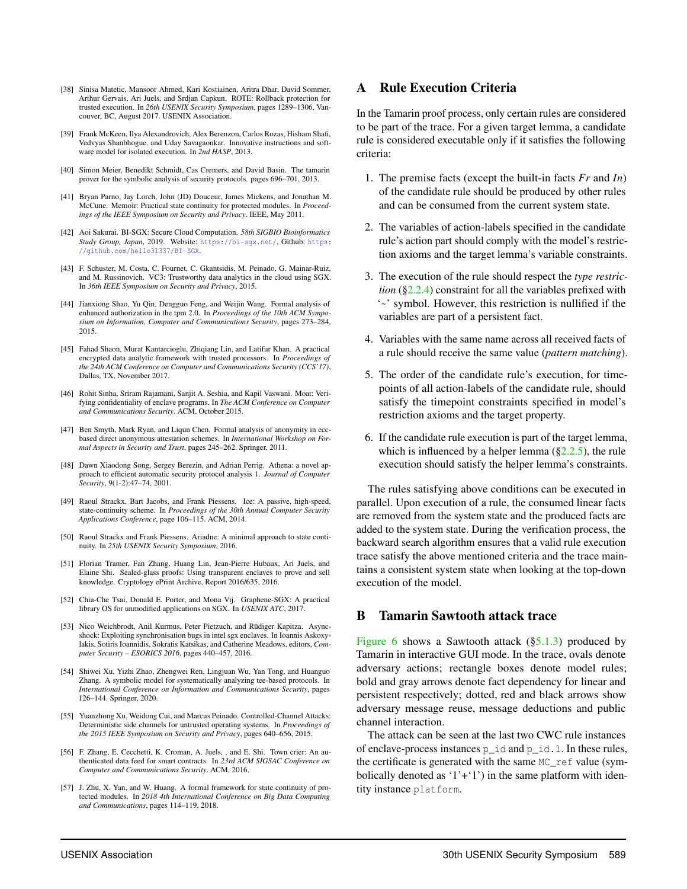- [38] Sinisa Matetic, Mansoor Ahmed, Kari Kostiainen, Aritra Dhar, David Sommer, Arthur Gervais, Ari Juels, and Srdjan Capkun. ROTE: Rollback protection for trusted execution. In *26th USENIX Security Symposium*, pages 1289–1306, Vancouver, BC, August 2017. USENIX Association.
- [39] Frank McKeen, Ilya Alexandrovich, Alex Berenzon, Carlos Rozas, Hisham Shafi, Vedvyas Shanbhogue, and Uday Savagaonkar. Innovative instructions and software model for isolated execution. In *2nd HASP*, 2013.
- [40] Simon Meier, Benedikt Schmidt, Cas Cremers, and David Basin. The tamarin prover for the symbolic analysis of security protocols. pages 696–701, 2013.
- [41] Bryan Parno, Jay Lorch, John (JD) Douceur, James Mickens, and Jonathan M. McCune. Memoir: Practical state continuity for protected modules. In *Proceedings of the IEEE Symposium on Security and Privacy*. IEEE, May 2011.
- [42] Aoi Sakurai. BI-SGX: Secure Cloud Computation. *58th SIGBIO Bioinformatics Study Group, Japan*, 2019. Website: https://bi-sgx.net/, Github: https: //github.com/hello31337/BI-SGX.
- [43] F. Schuster, M. Costa, C. Fournet, C. Gkantsidis, M. Peinado, G. Mainar-Ruiz, and M. Russinovich. VC3: Trustworthy data analytics in the cloud using SGX. In *36th IEEE Symposium on Security and Privacy*, 2015.
- [44] Jianxiong Shao, Yu Qin, Dengguo Feng, and Weijin Wang. Formal analysis of enhanced authorization in the tpm 2.0. In *Proceedings of the 10th ACM Symposium on Information, Computer and Communications Security*, pages 273–284, 2015.
- [45] Fahad Shaon, Murat Kantarcioglu, Zhiqiang Lin, and Latifur Khan. A practical encrypted data analytic framework with trusted processors. In *Proceedings of the 24th ACM Conference on Computer and Communications Security (CCS'17)*, Dallas, TX, November 2017.
- [46] Rohit Sinha, Sriram Rajamani, Sanjit A. Seshia, and Kapil Vaswani. Moat: Verifying confidentiality of enclave programs. In *The ACM Conference on Computer and Communications Security*. ACM, October 2015.
- [47] Ben Smyth, Mark Ryan, and Liqun Chen. Formal analysis of anonymity in eccbased direct anonymous attestation schemes. In *International Workshop on Formal Aspects in Security and Trust*, pages 245–262. Springer, 2011.
- [48] Dawn Xiaodong Song, Sergey Berezin, and Adrian Perrig. Athena: a novel approach to efficient automatic security protocol analysis 1. *Journal of Computer Security*, 9(1-2):47–74, 2001.
- [49] Raoul Strackx, Bart Jacobs, and Frank Piessens. Ice: A passive, high-speed, state-continuity scheme. In *Proceedings of the 30th Annual Computer Security Applications Conference*, page 106–115. ACM, 2014.
- [50] Raoul Strackx and Frank Piessens. Ariadne: A minimal approach to state continuity. In *25th USENIX Security Symposium*, 2016.
- [51] Florian Tramer, Fan Zhang, Huang Lin, Jean-Pierre Hubaux, Ari Juels, and Elaine Shi. Sealed-glass proofs: Using transparent enclaves to prove and sell knowledge. Cryptology ePrint Archive, Report 2016/635, 2016.
- [52] Chia-Che Tsai, Donald E. Porter, and Mona Vij. Graphene-SGX: A practical library OS for unmodified applications on SGX. In *USENIX ATC*, 2017.
- [53] Nico Weichbrodt, Anil Kurmus, Peter Pietzuch, and Rüdiger Kapitza. Asyncshock: Exploiting synchronisation bugs in intel sgx enclaves. In Ioannis Askoxylakis, Sotiris Ioannidis, Sokratis Katsikas, and Catherine Meadows, editors, *Computer Security – ESORICS 2016*, pages 440–457, 2016.
- [54] Shiwei Xu, Yizhi Zhao, Zhengwei Ren, Lingjuan Wu, Yan Tong, and Huanguo Zhang. A symbolic model for systematically analyzing tee-based protocols. In *International Conference on Information and Communications Security*, pages 126–144. Springer, 2020.
- [55] Yuanzhong Xu, Weidong Cui, and Marcus Peinado. Controlled-Channel Attacks: Deterministic side channels for untrusted operating systems. In *Proceedings of the 2015 IEEE Symposium on Security and Privacy*, pages 640–656, 2015.
- [56] F. Zhang, E. Cecchetti, K. Croman, A. Juels, , and E. Shi. Town crier: An authenticated data feed for smart contracts. In *23rd ACM SIGSAC Conference on Computer and Communications Security*. ACM, 2016.
- [57] J. Zhu, X. Yan, and W. Huang. A formal framework for state continuity of protected modules. In *2018 4th International Conference on Big Data Computing and Communications*, pages 114–119, 2018.

## A Rule Execution Criteria

In the Tamarin proof process, only certain rules are considered to be part of the trace. For a given target lemma, a candidate rule is considered executable only if it satisfies the following criteria:

- 1. The premise facts (except the built-in facts *Fr* and *In*) of the candidate rule should be produced by other rules and can be consumed from the current system state.
- 2. The variables of action-labels specified in the candidate rule's action part should comply with the model's restriction axioms and the target lemma's variable constraints.
- 3. The execution of the rule should respect the *type restriction* (§2.2.4) constraint for all the variables prefixed with '~' symbol. However, this restriction is nullified if the variables are part of a persistent fact.
- 4. Variables with the same name across all received facts of a rule should receive the same value (*pattern matching*).
- 5. The order of the candidate rule's execution, for timepoints of all action-labels of the candidate rule, should satisfy the timepoint constraints specified in model's restriction axioms and the target property.
- 6. If the candidate rule execution is part of the target lemma, which is influenced by a helper lemma  $(\S2.2.5)$ , the rule execution should satisfy the helper lemma's constraints.

The rules satisfying above conditions can be executed in parallel. Upon execution of a rule, the consumed linear facts are removed from the system state and the produced facts are added to the system state. During the verification process, the backward search algorithm ensures that a valid rule execution trace satisfy the above mentioned criteria and the trace maintains a consistent system state when looking at the top-down execution of the model.

### B Tamarin Sawtooth attack trace

Figure 6 shows a Sawtooth attack  $(\S 5.1.3)$  produced by Tamarin in interactive GUI mode. In the trace, ovals denote adversary actions; rectangle boxes denote model rules; bold and gray arrows denote fact dependency for linear and persistent respectively; dotted, red and black arrows show adversary message reuse, message deductions and public channel interaction.

The attack can be seen at the last two CWC rule instances of enclave-process instances  $p_id$  and  $p_id$ . I. In these rules, the certificate is generated with the same MC\_ref value (symbolically denoted as  $(1'+1')$  in the same platform with identity instance platform.